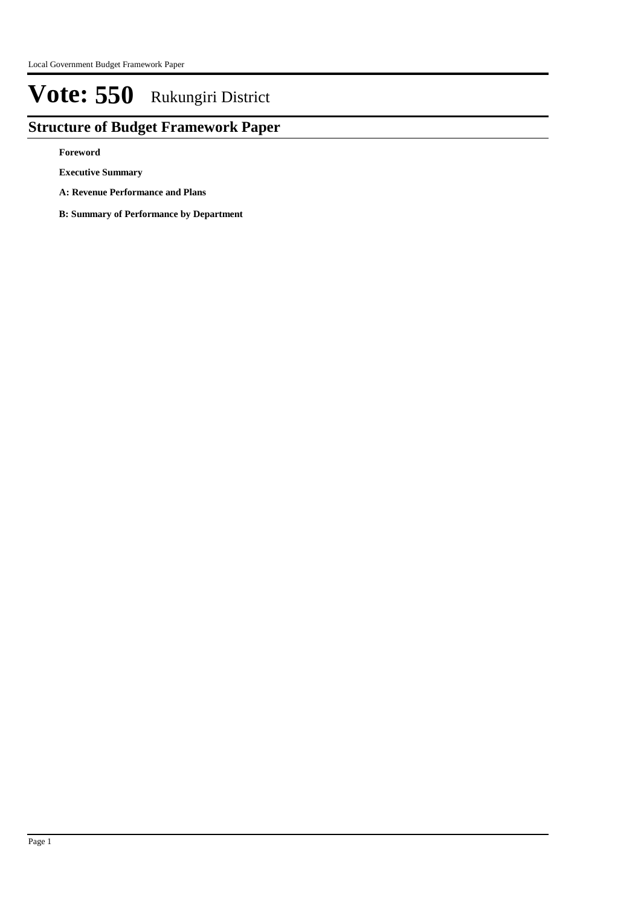## **Structure of Budget Framework Paper**

**Foreword**

**Executive Summary**

**A: Revenue Performance and Plans**

**B: Summary of Performance by Department**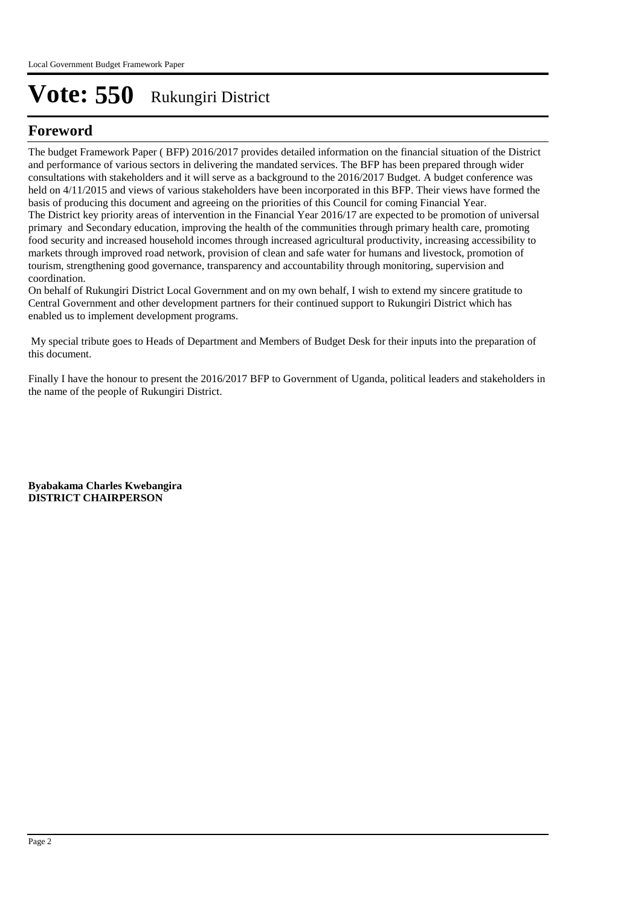## **Foreword**

The budget Framework Paper ( BFP) 2016/2017 provides detailed information on the financial situation of the District and performance of various sectors in delivering the mandated services. The BFP has been prepared through wider consultations with stakeholders and it will serve as a background to the 2016/2017 Budget. A budget conference was held on 4/11/2015 and views of various stakeholders have been incorporated in this BFP. Their views have formed the basis of producing this document and agreeing on the priorities of this Council for coming Financial Year. The District key priority areas of intervention in the Financial Year 2016/17 are expected to be promotion of universal primary and Secondary education, improving the health of the communities through primary health care, promoting food security and increased household incomes through increased agricultural productivity, increasing accessibility to markets through improved road network, provision of clean and safe water for humans and livestock, promotion of tourism, strengthening good governance, transparency and accountability through monitoring, supervision and coordination.

On behalf of Rukungiri District Local Government and on my own behalf, I wish to extend my sincere gratitude to Central Government and other development partners for their continued support to Rukungiri District which has enabled us to implement development programs.

 My special tribute goes to Heads of Department and Members of Budget Desk for their inputs into the preparation of this document.

Finally I have the honour to present the 2016/2017 BFP to Government of Uganda, political leaders and stakeholders in the name of the people of Rukungiri District.

**Byabakama Charles Kwebangira DISTRICT CHAIRPERSON**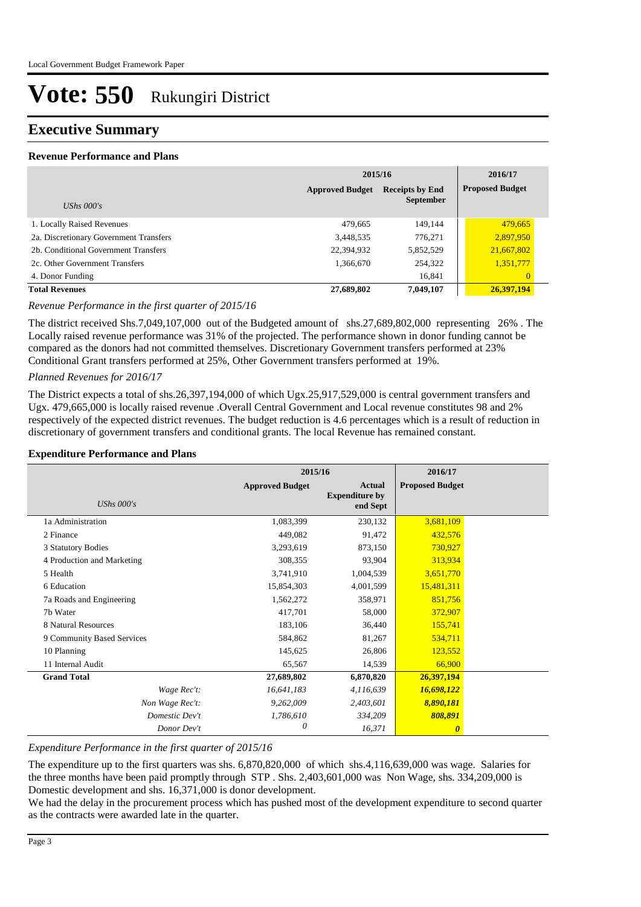### **Executive Summary**

#### **Revenue Performance and Plans**

|                                        | 2015/16                |                        | 2016/17                |
|----------------------------------------|------------------------|------------------------|------------------------|
|                                        | <b>Approved Budget</b> | <b>Receipts by End</b> | <b>Proposed Budget</b> |
| UShs $000's$                           |                        | <b>September</b>       |                        |
| 1. Locally Raised Revenues             | 479,665                | 149,144                | 479,665                |
| 2a. Discretionary Government Transfers | 3.448,535              | 776,271                | 2,897,950              |
| 2b. Conditional Government Transfers   | 22,394,932             | 5,852,529              | 21,667,802             |
| 2c. Other Government Transfers         | 1,366,670              | 254,322                | 1,351,777              |
| 4. Donor Funding                       |                        | 16,841                 | $\overline{0}$         |
| <b>Total Revenues</b>                  | 27,689,802             | 7,049,107              | 26,397,194             |

#### *Revenue Performance in the first quarter of 2015/16*

The district received Shs.7,049,107,000 out of the Budgeted amount of shs.27,689,802,000 representing 26% . The Locally raised revenue performance was 31% of the projected. The performance shown in donor funding cannot be compared as the donors had not committed themselves. Discretionary Government transfers performed at 23% Conditional Grant transfers performed at 25%, Other Government transfers performed at 19%.

#### *Planned Revenues for 2016/17*

The District expects a total of shs.26,397,194,000 of which Ugx.25,917,529,000 is central government transfers and Ugx. 479,665,000 is locally raised revenue .Overall Central Government and Local revenue constitutes 98 and 2% respectively of the expected district revenues. The budget reduction is 4.6 percentages which is a result of reduction in discretionary of government transfers and conditional grants. The local Revenue has remained constant.

#### **Expenditure Performance and Plans**

|                            | 2015/16                |                                                    | 2016/17                |  |
|----------------------------|------------------------|----------------------------------------------------|------------------------|--|
| UShs $000's$               | <b>Approved Budget</b> | <b>Actual</b><br><b>Expenditure by</b><br>end Sept | <b>Proposed Budget</b> |  |
| 1a Administration          | 1,083,399              | 230,132                                            | 3,681,109              |  |
| 2 Finance                  | 449,082                | 91,472                                             | 432,576                |  |
| 3 Statutory Bodies         | 3,293,619              | 873,150                                            | 730,927                |  |
| 4 Production and Marketing | 308,355                | 93,904                                             | 313,934                |  |
| 5 Health                   | 3,741,910              | 1,004,539                                          | 3,651,770              |  |
| 6 Education                | 15,854,303             | 4,001,599                                          | 15,481,311             |  |
| 7a Roads and Engineering   | 1,562,272              | 358,971                                            | 851,756                |  |
| 7b Water                   | 417,701                | 58,000                                             | 372,907                |  |
| 8 Natural Resources        | 183,106                | 36,440                                             | 155,741                |  |
| 9 Community Based Services | 584,862                | 81,267                                             | 534,711                |  |
| 10 Planning                | 145,625                | 26,806                                             | 123,552                |  |
| 11 Internal Audit          | 65,567                 | 14,539                                             | 66,900                 |  |
| <b>Grand Total</b>         | 27,689,802             | 6,870,820                                          | 26,397,194             |  |
| Wage Rec't:                | 16,641,183             | 4,116,639                                          | 16,698,122             |  |
| Non Wage Rec't:            | 9,262,009              | 2,403,601                                          | 8,890,181              |  |
| Domestic Dev't             | 1,786,610              | 334,209                                            | 808,891                |  |
| Donor Dev't                | 0                      | 16,371                                             | $\boldsymbol{\theta}$  |  |

#### *Expenditure Performance in the first quarter of 2015/16*

The expenditure up to the first quarters was shs. 6,870,820,000 of which shs.4,116,639,000 was wage. Salaries for the three months have been paid promptly through STP . Shs. 2,403,601,000 was Non Wage, shs. 334,209,000 is Domestic development and shs. 16,371,000 is donor development.

We had the delay in the procurement process which has pushed most of the development expenditure to second quarter as the contracts were awarded late in the quarter.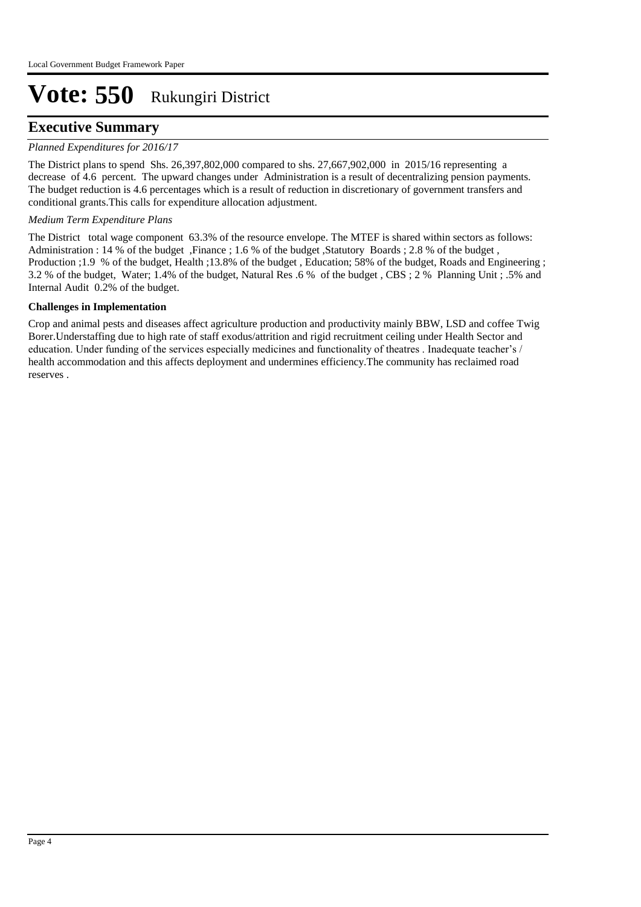### **Executive Summary**

#### *Planned Expenditures for 2016/17*

The District plans to spend Shs. 26,397,802,000 compared to shs. 27,667,902,000 in 2015/16 representing a decrease of 4.6 percent. The upward changes under Administration is a result of decentralizing pension payments. The budget reduction is 4.6 percentages which is a result of reduction in discretionary of government transfers and conditional grants.This calls for expenditure allocation adjustment.

#### *Medium Term Expenditure Plans*

The District total wage component 63.3% of the resource envelope. The MTEF is shared within sectors as follows: Administration : 14 % of the budget ,Finance ; 1.6 % of the budget ,Statutory Boards ; 2.8 % of the budget , Production ;1.9 % of the budget, Health ;13.8% of the budget , Education; 58% of the budget, Roads and Engineering ; 3.2 % of the budget, Water; 1.4% of the budget, Natural Res .6 % of the budget , CBS ; 2 % Planning Unit ; .5% and Internal Audit 0.2% of the budget.

#### **Challenges in Implementation**

Crop and animal pests and diseases affect agriculture production and productivity mainly BBW, LSD and coffee Twig Borer.Understaffing due to high rate of staff exodus/attrition and rigid recruitment ceiling under Health Sector and education. Under funding of the services especially medicines and functionality of theatres . Inadequate teacher's / health accommodation and this affects deployment and undermines efficiency.The community has reclaimed road reserves .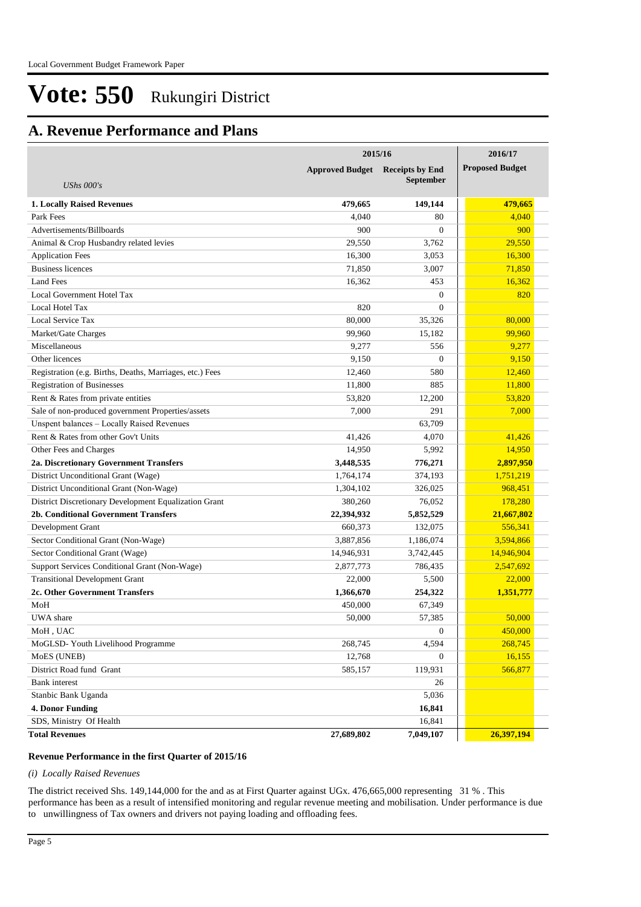## **A. Revenue Performance and Plans**

|                                                          | 2015/16                                | 2016/17          |                        |
|----------------------------------------------------------|----------------------------------------|------------------|------------------------|
|                                                          | <b>Approved Budget</b> Receipts by End |                  | <b>Proposed Budget</b> |
| UShs $000's$                                             |                                        | <b>September</b> |                        |
| <b>1. Locally Raised Revenues</b>                        | 479,665                                | 149,144          | 479,665                |
| Park Fees                                                | 4.040                                  | 80               | 4,040                  |
| Advertisements/Billboards                                | 900                                    | $\overline{0}$   | 900                    |
| Animal & Crop Husbandry related levies                   | 29,550                                 | 3,762            | 29,550                 |
| <b>Application Fees</b>                                  | 16,300                                 | 3,053            | 16,300                 |
| <b>Business licences</b>                                 | 71,850                                 | 3,007            | 71,850                 |
| <b>Land Fees</b>                                         | 16,362                                 | 453              | 16,362                 |
| Local Government Hotel Tax                               |                                        | $\overline{0}$   | 820                    |
| Local Hotel Tax                                          | 820                                    | $\overline{0}$   |                        |
| Local Service Tax                                        | 80,000                                 | 35,326           | 80,000                 |
| Market/Gate Charges                                      | 99,960                                 | 15,182           | 99,960                 |
| Miscellaneous                                            | 9,277                                  | 556              | 9,277                  |
| Other licences                                           | 9,150                                  | $\overline{0}$   | 9,150                  |
| Registration (e.g. Births, Deaths, Marriages, etc.) Fees | 12,460                                 | 580              | 12,460                 |
| <b>Registration of Businesses</b>                        | 11,800                                 | 885              | 11,800                 |
| Rent & Rates from private entities                       | 53,820                                 | 12,200           | 53,820                 |
| Sale of non-produced government Properties/assets        | 7,000                                  | 291              | 7,000                  |
| Unspent balances - Locally Raised Revenues               |                                        | 63,709           |                        |
| Rent & Rates from other Gov't Units                      | 41,426                                 | 4,070            | 41,426                 |
| Other Fees and Charges                                   | 14,950                                 | 5,992            | 14,950                 |
| 2a. Discretionary Government Transfers                   | 3,448,535                              | 776,271          | 2,897,950              |
| District Unconditional Grant (Wage)                      | 1,764,174                              | 374,193          | 1,751,219              |
| District Unconditional Grant (Non-Wage)                  | 1,304,102                              | 326,025          | 968,451                |
| District Discretionary Development Equalization Grant    | 380,260                                | 76,052           | 178,280                |
| <b>2b. Conditional Government Transfers</b>              | 22,394,932                             | 5,852,529        | 21,667,802             |
| Development Grant                                        | 660,373                                | 132,075          | 556,341                |
| Sector Conditional Grant (Non-Wage)                      | 3,887,856                              | 1,186,074        | 3,594,866              |
| Sector Conditional Grant (Wage)                          | 14,946,931                             | 3,742,445        | 14,946,904             |
| Support Services Conditional Grant (Non-Wage)            | 2,877,773                              | 786,435          | 2,547,692              |
| <b>Transitional Development Grant</b>                    | 22,000                                 | 5,500            | 22,000                 |
| 2c. Other Government Transfers                           | 1,366,670                              | 254,322          | 1,351,777              |
| MoH                                                      | 450,000                                | 67,349           |                        |
| UWA share                                                | 50,000                                 | 57,385           | 50,000                 |
| MoH, UAC                                                 |                                        | $\boldsymbol{0}$ | 450,000                |
| MoGLSD-Youth Livelihood Programme                        | 268,745                                | 4,594            | 268,745                |
| MoES (UNEB)                                              | 12,768                                 | $\boldsymbol{0}$ | 16,155                 |
| District Road fund Grant                                 | 585,157                                | 119,931          | 566,877                |
| Bank interest                                            |                                        | 26               |                        |
| Stanbic Bank Uganda                                      |                                        | 5,036            |                        |
| <b>4. Donor Funding</b>                                  |                                        | 16,841           |                        |
| SDS, Ministry Of Health                                  |                                        | 16,841           |                        |
| <b>Total Revenues</b>                                    | 27,689,802                             | 7,049,107        | 26,397,194             |

#### **Revenue Performance in the first Quarter of 2015/16**

*(i) Locally Raised Revenues* 

The district received Shs. 149,144,000 for the and as at First Quarter against UGx. 476,665,000 representing 31 % . This performance has been as a result of intensified monitoring and regular revenue meeting and mobilisation. Under performance is due to unwillingness of Tax owners and drivers not paying loading and offloading fees.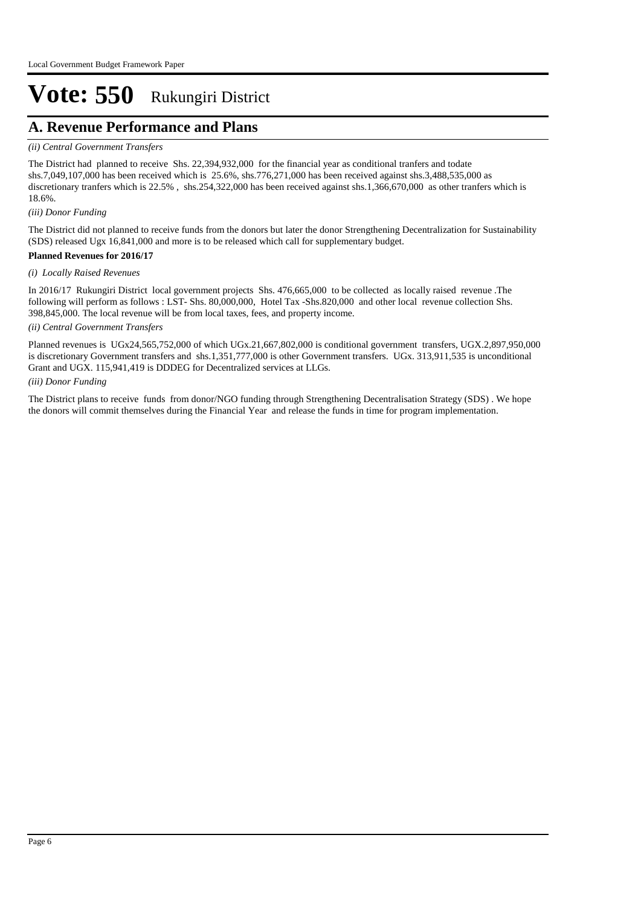## **A. Revenue Performance and Plans**

#### *(ii) Central Government Transfers*

The District had planned to receive Shs. 22,394,932,000 for the financial year as conditional tranfers and todate shs.7,049,107,000 has been received which is 25.6%, shs.776,271,000 has been received against shs.3,488,535,000 as discretionary tranfers which is 22.5%, shs.254,322,000 has been received against shs.1,366,670,000 as other tranfers which is 18.6%.

#### *(iii) Donor Funding*

The District did not planned to receive funds from the donors but later the donor Strengthening Decentralization for Sustainability (SDS) released Ugx 16,841,000 and more is to be released which call for supplementary budget.

#### **Planned Revenues for 2016/17**

#### *(i) Locally Raised Revenues*

In 2016/17 Rukungiri District local government projects Shs. 476,665,000 to be collected as locally raised revenue .The following will perform as follows : LST- Shs. 80,000,000, Hotel Tax -Shs.820,000 and other local revenue collection Shs. 398,845,000. The local revenue will be from local taxes, fees, and property income.

#### *(ii) Central Government Transfers*

Planned revenues is UGx24,565,752,000 of which UGx.21,667,802,000 is conditional government transfers, UGX.2,897,950,000 is discretionary Government transfers and shs.1,351,777,000 is other Government transfers. UGx. 313,911,535 is unconditional Grant and UGX. 115,941,419 is DDDEG for Decentralized services at LLGs.

#### *(iii) Donor Funding*

The District plans to receive funds from donor/NGO funding through Strengthening Decentralisation Strategy (SDS) . We hope the donors will commit themselves during the Financial Year and release the funds in time for program implementation.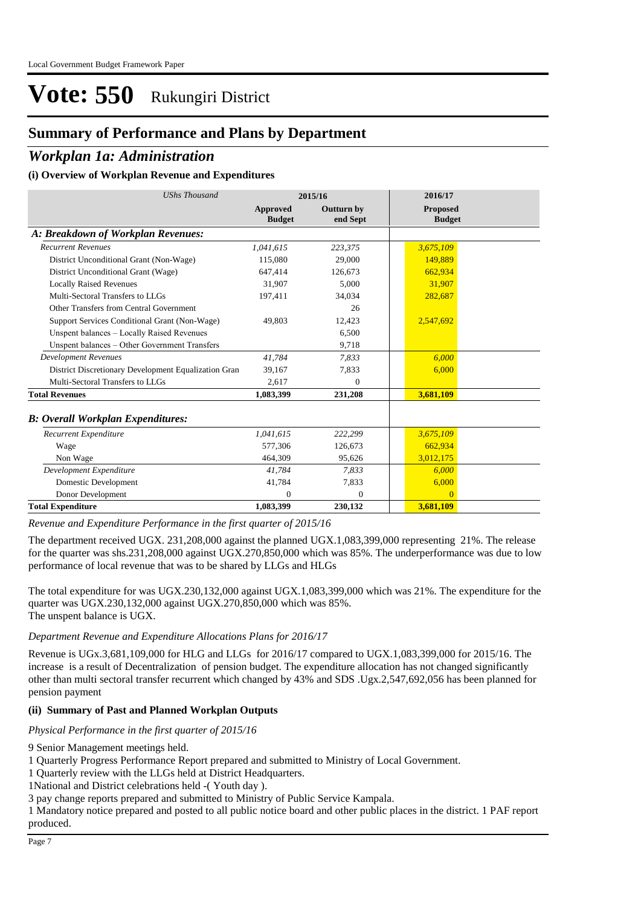## **Summary of Performance and Plans by Department**

### *Workplan 1a: Administration*

#### **(i) Overview of Workplan Revenue and Expenditures**

| <b>UShs Thousand</b>                                 |                                  | 2015/16                       | 2016/17                          |
|------------------------------------------------------|----------------------------------|-------------------------------|----------------------------------|
|                                                      | <b>Approved</b><br><b>Budget</b> | <b>Outturn by</b><br>end Sept | <b>Proposed</b><br><b>Budget</b> |
| A: Breakdown of Workplan Revenues:                   |                                  |                               |                                  |
| <b>Recurrent Revenues</b>                            | 1.041.615                        | 223,375                       | 3,675,109                        |
| District Unconditional Grant (Non-Wage)              | 115,080                          | 29,000                        | 149,889                          |
| District Unconditional Grant (Wage)                  | 647,414                          | 126,673                       | 662,934                          |
| <b>Locally Raised Revenues</b>                       | 31,907                           | 5,000                         | 31,907                           |
| Multi-Sectoral Transfers to LLGs                     | 197,411                          | 34,034                        | 282,687                          |
| Other Transfers from Central Government              |                                  | 26                            |                                  |
| Support Services Conditional Grant (Non-Wage)        | 49,803                           | 12,423                        | 2,547,692                        |
| Unspent balances - Locally Raised Revenues           |                                  | 6,500                         |                                  |
| Unspent balances - Other Government Transfers        |                                  | 9,718                         |                                  |
| <b>Development Revenues</b>                          | 41.784                           | 7.833                         | 6,000                            |
| District Discretionary Development Equalization Gran | 39.167                           | 7,833                         | 6.000                            |
| Multi-Sectoral Transfers to LLGs                     | 2,617                            | $\Omega$                      |                                  |
| <b>Total Revenues</b>                                | 1,083,399                        | 231,208                       | 3,681,109                        |
| <b>B: Overall Workplan Expenditures:</b>             |                                  |                               |                                  |
| Recurrent Expenditure                                | 1,041,615                        | 222,299                       | 3,675,109                        |
| Wage                                                 | 577.306                          | 126,673                       | 662.934                          |
| Non Wage                                             | 464,309                          | 95,626                        | 3,012,175                        |
| Development Expenditure                              | 41,784                           | 7,833                         | 6,000                            |
| Domestic Development                                 | 41,784                           | 7,833                         | 6,000                            |
| Donor Development                                    | $\Omega$                         | $\Omega$                      | $\Omega$                         |
| <b>Total Expenditure</b>                             | 1,083,399                        | 230,132                       | 3,681,109                        |

*Revenue and Expenditure Performance in the first quarter of 2015/16*

The department received UGX. 231,208,000 against the planned UGX.1,083,399,000 representing 21%. The release for the quarter was shs.231,208,000 against UGX.270,850,000 which was 85%. The underperformance was due to low performance of local revenue that was to be shared by LLGs and HLGs

The total expenditure for was UGX.230,132,000 against UGX.1,083,399,000 which was 21%. The expenditure for the quarter was UGX.230,132,000 against UGX.270,850,000 which was 85%. The unspent balance is UGX.

#### *Department Revenue and Expenditure Allocations Plans for 2016/17*

Revenue is UGx.3,681,109,000 for HLG and LLGs for 2016/17 compared to UGX.1,083,399,000 for 2015/16. The increase is a result of Decentralization of pension budget. The expenditure allocation has not changed significantly other than multi sectoral transfer recurrent which changed by 43% and SDS .Ugx.2,547,692,056 has been planned for pension payment

#### **(ii) Summary of Past and Planned Workplan Outputs**

*Physical Performance in the first quarter of 2015/16*

9 Senior Management meetings held.

1 Quarterly Progress Performance Report prepared and submitted to Ministry of Local Government.

1 Quarterly review with the LLGs held at District Headquarters.

1National and District celebrations held -( Youth day ).

3 pay change reports prepared and submitted to Ministry of Public Service Kampala.

1 Mandatory notice prepared and posted to all public notice board and other public places in the district. 1 PAF report produced.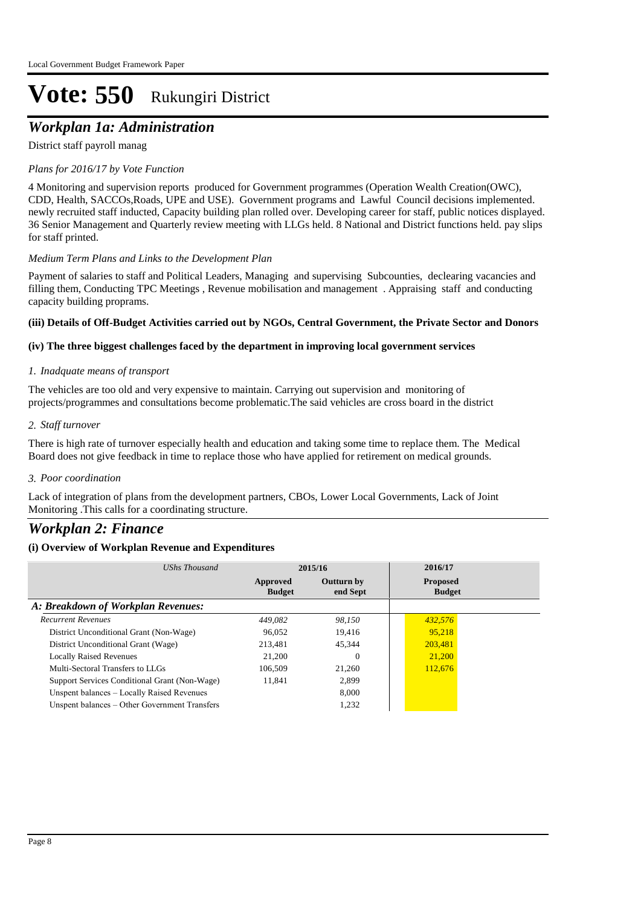## *Workplan 1a: Administration*

#### District staff payroll manag

#### *Plans for 2016/17 by Vote Function*

4 Monitoring and supervision reports produced for Government programmes (Operation Wealth Creation(OWC), CDD, Health, SACCOs,Roads, UPE and USE). Government programs and Lawful Council decisions implemented. newly recruited staff inducted, Capacity building plan rolled over. Developing career for staff, public notices displayed. 36 Senior Management and Quarterly review meeting with LLGs held. 8 National and District functions held. pay slips for staff printed.

#### *Medium Term Plans and Links to the Development Plan*

Payment of salaries to staff and Political Leaders, Managing and supervising Subcounties, declearing vacancies and filling them, Conducting TPC Meetings , Revenue mobilisation and management . Appraising staff and conducting capacity building proprams.

#### **(iii) Details of Off-Budget Activities carried out by NGOs, Central Government, the Private Sector and Donors**

#### **(iv) The three biggest challenges faced by the department in improving local government services**

#### *Inadquate means of transport 1.*

The vehicles are too old and very expensive to maintain. Carrying out supervision and monitoring of projects/programmes and consultations become problematic.The said vehicles are cross board in the district

#### *Staff turnover 2.*

There is high rate of turnover especially health and education and taking some time to replace them. The Medical Board does not give feedback in time to replace those who have applied for retirement on medical grounds.

#### *Poor coordination 3.*

Lack of integration of plans from the development partners, CBOs, Lower Local Governments, Lack of Joint Monitoring .This calls for a coordinating structure.

### *Workplan 2: Finance*

| UShs Thousand                                 | 2015/16                   |                               | 2016/17                          |  |
|-----------------------------------------------|---------------------------|-------------------------------|----------------------------------|--|
|                                               | Approved<br><b>Budget</b> | <b>Outturn by</b><br>end Sept | <b>Proposed</b><br><b>Budget</b> |  |
| A: Breakdown of Workplan Revenues:            |                           |                               |                                  |  |
| <b>Recurrent Revenues</b>                     | 449.082                   | 98.150                        | 432,576                          |  |
| District Unconditional Grant (Non-Wage)       | 96.052                    | 19.416                        | 95,218                           |  |
| District Unconditional Grant (Wage)           | 213,481                   | 45.344                        | 203,481                          |  |
| <b>Locally Raised Revenues</b>                | 21,200                    | $\Omega$                      | 21,200                           |  |
| Multi-Sectoral Transfers to LLGs              | 106.509                   | 21,260                        | 112,676                          |  |
| Support Services Conditional Grant (Non-Wage) | 11.841                    | 2.899                         |                                  |  |
| Unspent balances - Locally Raised Revenues    |                           | 8.000                         |                                  |  |
| Unspent balances – Other Government Transfers |                           | 1.232                         |                                  |  |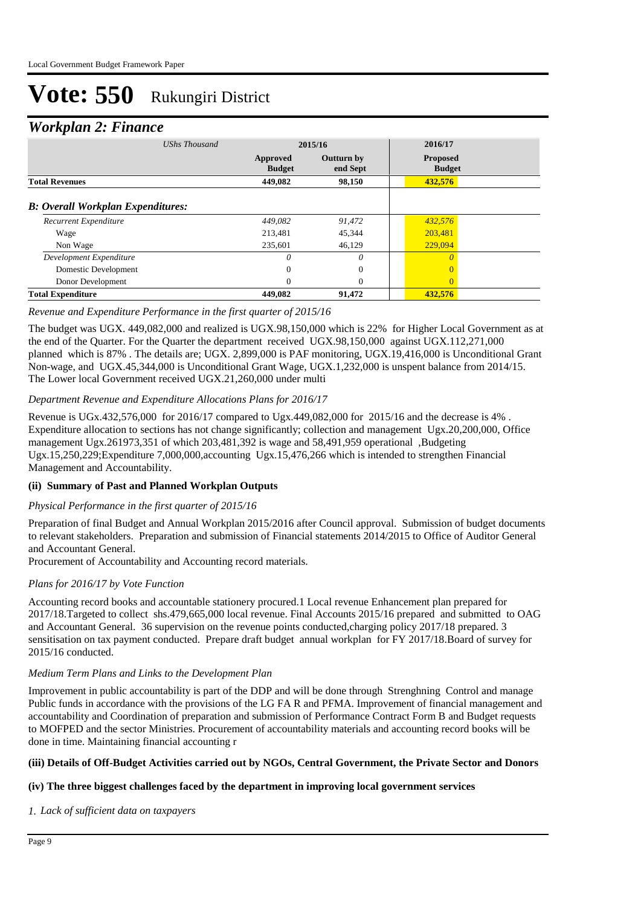### *Workplan 2: Finance*

| ≖<br>UShs Thousand                       |                           | 2015/16                | 2016/17                          |  |
|------------------------------------------|---------------------------|------------------------|----------------------------------|--|
|                                          | Approved<br><b>Budget</b> | Outturn by<br>end Sept | <b>Proposed</b><br><b>Budget</b> |  |
| <b>Total Revenues</b>                    | 449,082                   | 98,150                 | 432,576                          |  |
| <b>B: Overall Workplan Expenditures:</b> |                           |                        |                                  |  |
| Recurrent Expenditure                    | 449,082                   | 91,472                 | 432,576                          |  |
| Wage                                     | 213.481                   | 45.344                 | 203,481                          |  |
| Non Wage                                 | 235,601                   | 46,129                 | 229,094                          |  |
| Development Expenditure                  | 0                         | 0                      | $\Omega$                         |  |
| Domestic Development                     | 0                         | 0                      | $\Omega$                         |  |
| Donor Development                        | 0                         | 0                      | $\overline{0}$                   |  |
| <b>Total Expenditure</b>                 | 449,082                   | 91,472                 | 432,576                          |  |

#### *Revenue and Expenditure Performance in the first quarter of 2015/16*

The budget was UGX. 449,082,000 and realized is UGX.98,150,000 which is 22% for Higher Local Government as at the end of the Quarter. For the Quarter the department received UGX.98,150,000 against UGX.112,271,000 planned which is 87% . The details are; UGX. 2,899,000 is PAF monitoring, UGX.19,416,000 is Unconditional Grant Non-wage, and UGX.45,344,000 is Unconditional Grant Wage, UGX.1,232,000 is unspent balance from 2014/15. The Lower local Government received UGX.21,260,000 under multi

#### *Department Revenue and Expenditure Allocations Plans for 2016/17*

Revenue is UGx.432,576,000 for 2016/17 compared to Ugx.449,082,000 for 2015/16 and the decrease is 4% . Expenditure allocation to sections has not change significantly; collection and management Ugx.20,200,000, Office management Ugx.261973,351 of which 203,481,392 is wage and 58,491,959 operational ,Budgeting Ugx.15,250,229;Expenditure 7,000,000,accounting Ugx.15,476,266 which is intended to strengthen Financial Management and Accountability.

#### **(ii) Summary of Past and Planned Workplan Outputs**

#### *Physical Performance in the first quarter of 2015/16*

Preparation of final Budget and Annual Workplan 2015/2016 after Council approval. Submission of budget documents to relevant stakeholders. Preparation and submission of Financial statements 2014/2015 to Office of Auditor General and Accountant General.

Procurement of Accountability and Accounting record materials.

#### *Plans for 2016/17 by Vote Function*

Accounting record books and accountable stationery procured.1 Local revenue Enhancement plan prepared for 2017/18.Targeted to collect shs.479,665,000 local revenue. Final Accounts 2015/16 prepared and submitted to OAG and Accountant General. 36 supervision on the revenue points conducted,charging policy 2017/18 prepared. 3 sensitisation on tax payment conducted. Prepare draft budget annual workplan for FY 2017/18.Board of survey for 2015/16 conducted.

#### *Medium Term Plans and Links to the Development Plan*

Improvement in public accountability is part of the DDP and will be done through Strenghning Control and manage Public funds in accordance with the provisions of the LG FA R and PFMA. Improvement of financial management and accountability and Coordination of preparation and submission of Performance Contract Form B and Budget requests to MOFPED and the sector Ministries. Procurement of accountability materials and accounting record books will be done in time. Maintaining financial accounting r

#### **(iii) Details of Off-Budget Activities carried out by NGOs, Central Government, the Private Sector and Donors**

#### **(iv) The three biggest challenges faced by the department in improving local government services**

*Lack of sufficient data on taxpayers 1.*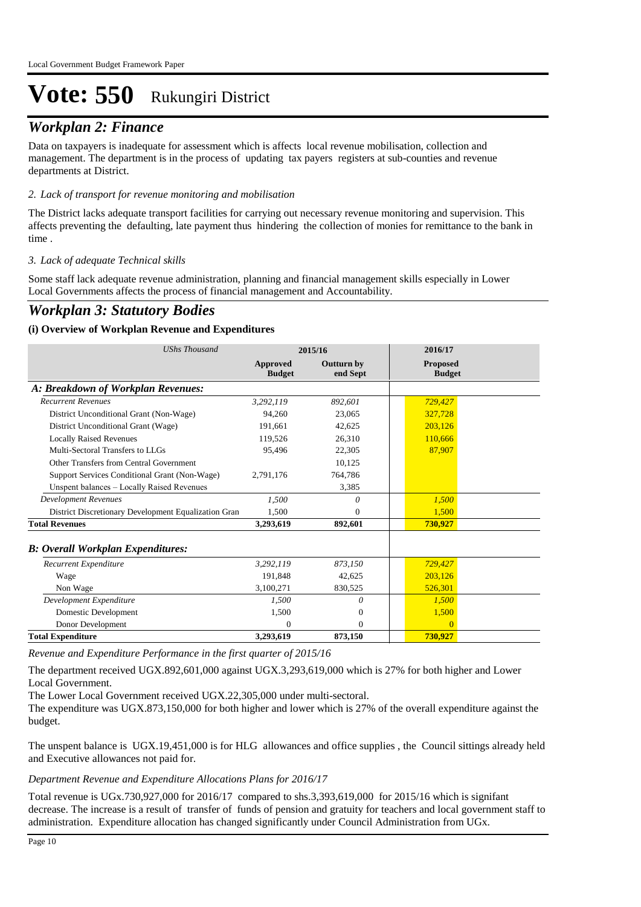## *Workplan 2: Finance*

Data on taxpayers is inadequate for assessment which is affects local revenue mobilisation, collection and management. The department is in the process of updating tax payers registers at sub-counties and revenue departments at District.

#### *Lack of transport for revenue monitoring and mobilisation 2.*

The District lacks adequate transport facilities for carrying out necessary revenue monitoring and supervision. This affects preventing the defaulting, late payment thus hindering the collection of monies for remittance to the bank in time .

#### *Lack of adequate Technical skills 3.*

Some staff lack adequate revenue administration, planning and financial management skills especially in Lower Local Governments affects the process of financial management and Accountability.

### *Workplan 3: Statutory Bodies*

#### **(i) Overview of Workplan Revenue and Expenditures**

| <b>UShs Thousand</b>                                 |                           | 2015/16                       | 2016/17                          |
|------------------------------------------------------|---------------------------|-------------------------------|----------------------------------|
|                                                      | Approved<br><b>Budget</b> | <b>Outturn by</b><br>end Sept | <b>Proposed</b><br><b>Budget</b> |
| A: Breakdown of Workplan Revenues:                   |                           |                               |                                  |
| <b>Recurrent Revenues</b>                            | 3,292,119                 | 892,601                       | 729,427                          |
| District Unconditional Grant (Non-Wage)              | 94,260                    | 23,065                        | 327,728                          |
| District Unconditional Grant (Wage)                  | 191,661                   | 42,625                        | 203,126                          |
| <b>Locally Raised Revenues</b>                       | 119,526                   | 26,310                        | 110,666                          |
| Multi-Sectoral Transfers to LLGs                     | 95,496                    | 22,305                        | 87,907                           |
| Other Transfers from Central Government              |                           | 10,125                        |                                  |
| Support Services Conditional Grant (Non-Wage)        | 2,791,176                 | 764,786                       |                                  |
| Unspent balances - Locally Raised Revenues           |                           | 3,385                         |                                  |
| <b>Development Revenues</b>                          | 1.500                     | 0                             | 1,500                            |
| District Discretionary Development Equalization Gran | 1,500                     | $\Omega$                      | 1,500                            |
| <b>Total Revenues</b>                                | 3,293,619                 | 892,601                       | 730,927                          |
| <b>B: Overall Workplan Expenditures:</b>             |                           |                               |                                  |
| Recurrent Expenditure                                | 3,292,119                 | 873,150                       | 729,427                          |
| Wage                                                 | 191,848                   | 42,625                        | 203,126                          |
| Non Wage                                             | 3,100,271                 | 830,525                       | 526,301                          |
| Development Expenditure                              | 1,500                     | 0                             | 1,500                            |
| Domestic Development                                 | 1,500                     | $\mathbf{0}$                  | 1,500                            |
| Donor Development                                    | 0                         | $\Omega$                      | $\Omega$                         |
| <b>Total Expenditure</b>                             | 3,293,619                 | 873,150                       | 730,927                          |

*Revenue and Expenditure Performance in the first quarter of 2015/16*

The department received UGX.892,601,000 against UGX.3,293,619,000 which is 27% for both higher and Lower Local Government.

The Lower Local Government received UGX.22,305,000 under multi-sectoral.

The expenditure was UGX.873,150,000 for both higher and lower which is 27% of the overall expenditure against the budget.

The unspent balance is UGX.19,451,000 is for HLG allowances and office supplies , the Council sittings already held and Executive allowances not paid for.

#### *Department Revenue and Expenditure Allocations Plans for 2016/17*

Total revenue is UGx.730,927,000 for 2016/17 compared to shs.3,393,619,000 for 2015/16 which is signifant decrease. The increase is a result of transfer of funds of pension and gratuity for teachers and local government staff to administration. Expenditure allocation has changed significantly under Council Administration from UGx.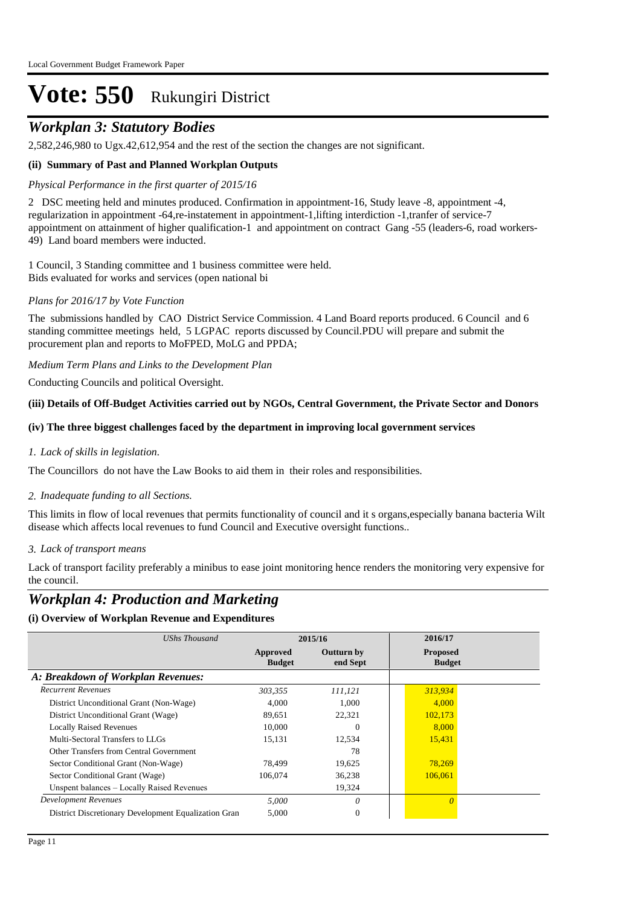## *Workplan 3: Statutory Bodies*

2,582,246,980 to Ugx.42,612,954 and the rest of the section the changes are not significant.

#### **(ii) Summary of Past and Planned Workplan Outputs**

#### *Physical Performance in the first quarter of 2015/16*

2 DSC meeting held and minutes produced. Confirmation in appointment-16, Study leave -8, appointment -4, regularization in appointment -64,re-instatement in appointment-1,lifting interdiction -1,tranfer of service-7 appointment on attainment of higher qualification-1 and appointment on contract Gang -55 (leaders-6, road workers-49) Land board members were inducted.

1 Council, 3 Standing committee and 1 business committee were held. Bids evaluated for works and services (open national bi

#### *Plans for 2016/17 by Vote Function*

The submissions handled by CAO District Service Commission. 4 Land Board reports produced. 6 Council and 6 standing committee meetings held, 5 LGPAC reports discussed by Council.PDU will prepare and submit the procurement plan and reports to MoFPED, MoLG and PPDA;

*Medium Term Plans and Links to the Development Plan*

Conducting Councils and political Oversight.

#### **(iii) Details of Off-Budget Activities carried out by NGOs, Central Government, the Private Sector and Donors**

#### **(iv) The three biggest challenges faced by the department in improving local government services**

#### *Lack of skills in legislation. 1.*

The Councillors do not have the Law Books to aid them in their roles and responsibilities.

#### *Inadequate funding to all Sections. 2.*

This limits in flow of local revenues that permits functionality of council and it s organs,especially banana bacteria Wilt disease which affects local revenues to fund Council and Executive oversight functions..

#### *Lack of transport means 3.*

Lack of transport facility preferably a minibus to ease joint monitoring hence renders the monitoring very expensive for the council.

### *Workplan 4: Production and Marketing*

| UShs Thousand                                        |                           | 2015/16                       | 2016/17                          |
|------------------------------------------------------|---------------------------|-------------------------------|----------------------------------|
|                                                      | Approved<br><b>Budget</b> | <b>Outturn by</b><br>end Sept | <b>Proposed</b><br><b>Budget</b> |
| A: Breakdown of Workplan Revenues:                   |                           |                               |                                  |
| <b>Recurrent Revenues</b>                            | 303.355                   | 111.121                       | 313,934                          |
| District Unconditional Grant (Non-Wage)              | 4.000                     | 1.000                         | 4,000                            |
| District Unconditional Grant (Wage)                  | 89,651                    | 22,321                        | 102,173                          |
| <b>Locally Raised Revenues</b>                       | 10,000                    | $\Omega$                      | 8,000                            |
| Multi-Sectoral Transfers to LLGs                     | 15.131                    | 12,534                        | 15,431                           |
| Other Transfers from Central Government              |                           | 78                            |                                  |
| Sector Conditional Grant (Non-Wage)                  | 78.499                    | 19.625                        | 78,269                           |
| Sector Conditional Grant (Wage)                      | 106,074                   | 36,238                        | 106,061                          |
| Unspent balances – Locally Raised Revenues           |                           | 19,324                        |                                  |
| Development Revenues                                 | 5,000                     | $\theta$                      | $\Omega$                         |
| District Discretionary Development Equalization Gran | 5,000                     | $\mathbf{0}$                  |                                  |
|                                                      |                           |                               |                                  |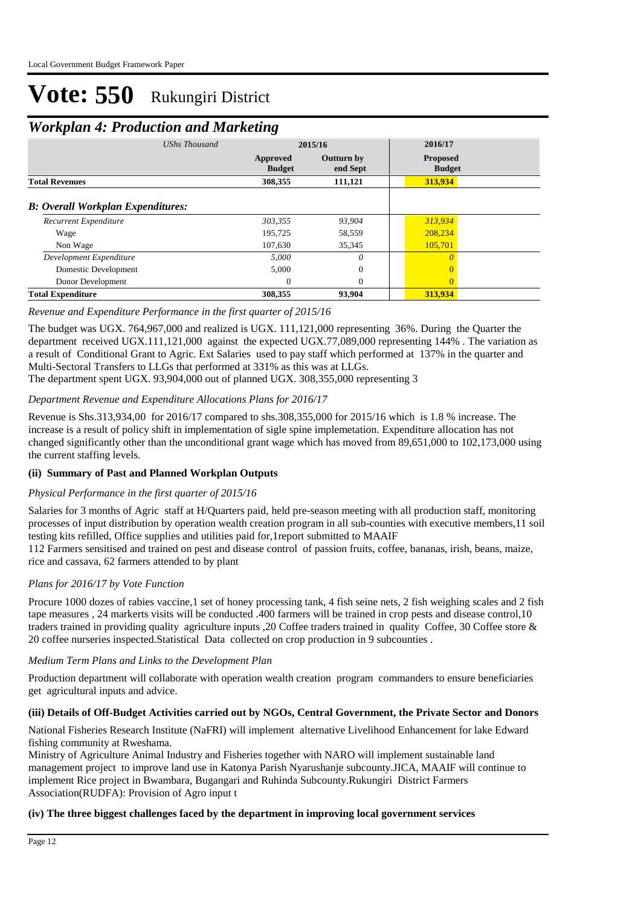### *Workplan 4: Production and Marketing*

| <b>UShs Thousand</b>                     |                           | 2015/16                       | 2016/17                          |  |
|------------------------------------------|---------------------------|-------------------------------|----------------------------------|--|
|                                          | Approved<br><b>Budget</b> | <b>Outturn by</b><br>end Sept | <b>Proposed</b><br><b>Budget</b> |  |
| <b>Total Revenues</b>                    | 308,355                   | 111,121                       | 313,934                          |  |
| <b>B: Overall Workplan Expenditures:</b> |                           |                               |                                  |  |
| Recurrent Expenditure                    | 303,355                   | 93.904                        | 313,934                          |  |
| Wage                                     | 195,725                   | 58,559                        | 208,234                          |  |
| Non Wage                                 | 107,630                   | 35,345                        | 105.701                          |  |
| Development Expenditure                  | 5.000                     | $\theta$                      |                                  |  |
| Domestic Development                     | 5.000                     | $\overline{0}$                |                                  |  |
| Donor Development                        | $\Omega$                  | $\Omega$                      |                                  |  |
| <b>Total Expenditure</b>                 | 308,355                   | 93,904                        | 313.934                          |  |

#### *Revenue and Expenditure Performance in the first quarter of 2015/16*

The budget was UGX. 764,967,000 and realized is UGX. 111,121,000 representing 36%. During the Quarter the department received UGX.111,121,000 against the expected UGX.77,089,000 representing 144% . The variation as a result of Conditional Grant to Agric. Ext Salaries used to pay staff which performed at 137% in the quarter and Multi-Sectoral Transfers to LLGs that performed at 331% as this was at LLGs.

The department spent UGX. 93,904,000 out of planned UGX. 308,355,000 representing 3

#### *Department Revenue and Expenditure Allocations Plans for 2016/17*

Revenue is Shs.313,934,00 for 2016/17 compared to shs.308,355,000 for 2015/16 which is 1.8 % increase. The increase is a result of policy shift in implementation of sigle spine implemetation. Expenditure allocation has not changed significantly other than the unconditional grant wage which has moved from 89,651,000 to 102,173,000 using the current staffing levels.

#### **(ii) Summary of Past and Planned Workplan Outputs**

#### *Physical Performance in the first quarter of 2015/16*

Salaries for 3 months of Agric staff at H/Quarters paid, held pre-season meeting with all production staff, monitoring processes of input distribution by operation wealth creation program in all sub-counties with executive members,11 soil testing kits refilled, Office supplies and utilities paid for,1report submitted to MAAIF

112 Farmers sensitised and trained on pest and disease control of passion fruits, coffee, bananas, irish, beans, maize, rice and cassava, 62 farmers attended to by plant

#### *Plans for 2016/17 by Vote Function*

Procure 1000 dozes of rabies vaccine,1 set of honey processing tank, 4 fish seine nets, 2 fish weighing scales and 2 fish tape measures , 24 markerts visits will be conducted .400 farmers will be trained in crop pests and disease control,10 traders trained in providing quality agriculture inputs ,20 Coffee traders trained in quality Coffee, 30 Coffee store & 20 coffee nurseries inspected.Statistical Data collected on crop production in 9 subcounties .

#### *Medium Term Plans and Links to the Development Plan*

Production department will collaborate with operation wealth creation program commanders to ensure beneficiaries get agricultural inputs and advice.

#### **(iii) Details of Off-Budget Activities carried out by NGOs, Central Government, the Private Sector and Donors**

National Fisheries Research Institute (NaFRI) will implement alternative Livelihood Enhancement for lake Edward fishing community at Rweshama.

Ministry of Agriculture Animal Industry and Fisheries together with NARO will implement sustainable land management project to improve land use in Katonya Parish Nyarushanje subcounty.JICA, MAAIF will continue to implement Rice project in Bwambara, Bugangari and Ruhinda Subcounty.Rukungiri District Farmers Association(RUDFA): Provision of Agro input t

#### **(iv) The three biggest challenges faced by the department in improving local government services**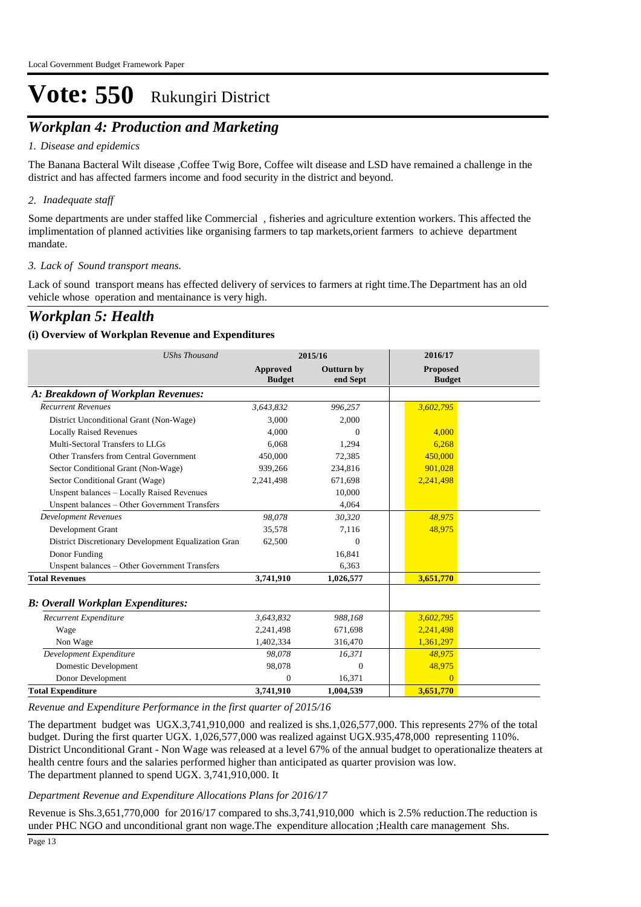## *Workplan 4: Production and Marketing*

#### *Disease and epidemics 1.*

The Banana Bacteral Wilt disease ,Coffee Twig Bore, Coffee wilt disease and LSD have remained a challenge in the district and has affected farmers income and food security in the district and beyond.

#### *Inadequate staff 2.*

Some departments are under staffed like Commercial , fisheries and agriculture extention workers. This affected the implimentation of planned activities like organising farmers to tap markets,orient farmers to achieve department mandate.

#### *Lack of Sound transport means. 3.*

Lack of sound transport means has effected delivery of services to farmers at right time.The Department has an old vehicle whose operation and mentainance is very high.

### *Workplan 5: Health*

#### **(i) Overview of Workplan Revenue and Expenditures**

| <b>UShs Thousand</b>                                 | 2015/16                   |                               | 2016/17                          |  |
|------------------------------------------------------|---------------------------|-------------------------------|----------------------------------|--|
|                                                      | Approved<br><b>Budget</b> | <b>Outturn by</b><br>end Sept | <b>Proposed</b><br><b>Budget</b> |  |
| A: Breakdown of Workplan Revenues:                   |                           |                               |                                  |  |
| <b>Recurrent Revenues</b>                            | 3,643,832                 | 996,257                       | 3,602,795                        |  |
| District Unconditional Grant (Non-Wage)              | 3.000                     | 2,000                         |                                  |  |
| <b>Locally Raised Revenues</b>                       | 4,000                     | $\Omega$                      | 4.000                            |  |
| Multi-Sectoral Transfers to LLGs                     | 6,068                     | 1,294                         | 6,268                            |  |
| Other Transfers from Central Government              | 450,000                   | 72,385                        | 450,000                          |  |
| Sector Conditional Grant (Non-Wage)                  | 939,266                   | 234,816                       | 901,028                          |  |
| Sector Conditional Grant (Wage)                      | 2,241,498                 | 671,698                       | 2,241,498                        |  |
| Unspent balances - Locally Raised Revenues           |                           | 10.000                        |                                  |  |
| Unspent balances - Other Government Transfers        |                           | 4,064                         |                                  |  |
| <b>Development Revenues</b>                          | 98,078                    | 30,320                        | 48,975                           |  |
| Development Grant                                    | 35,578                    | 7,116                         | 48,975                           |  |
| District Discretionary Development Equalization Gran | 62,500                    | 0                             |                                  |  |
| Donor Funding                                        |                           | 16.841                        |                                  |  |
| Unspent balances - Other Government Transfers        |                           | 6,363                         |                                  |  |
| <b>Total Revenues</b>                                | 3,741,910                 | 1,026,577                     | 3,651,770                        |  |
| <b>B: Overall Workplan Expenditures:</b>             |                           |                               |                                  |  |
| Recurrent Expenditure                                | 3,643,832                 | 988.168                       | 3,602,795                        |  |
| Wage                                                 | 2,241,498                 | 671,698                       | 2,241,498                        |  |
| Non Wage                                             | 1,402,334                 | 316,470                       | 1,361,297                        |  |
| Development Expenditure                              | 98,078                    | 16,371                        | 48,975                           |  |
| Domestic Development                                 | 98,078                    | $\mathbf{0}$                  | 48,975                           |  |
| Donor Development                                    | $\Omega$                  | 16,371                        | $\Omega$                         |  |
| <b>Total Expenditure</b>                             | 3,741,910                 | 1,004,539                     | 3,651,770                        |  |

*Revenue and Expenditure Performance in the first quarter of 2015/16*

The department budget was UGX.3,741,910,000 and realized is shs.1,026,577,000. This represents 27% of the total budget. During the first quarter UGX. 1,026,577,000 was realized against UGX.935,478,000 representing 110%. District Unconditional Grant - Non Wage was released at a level 67% of the annual budget to operationalize theaters at health centre fours and the salaries performed higher than anticipated as quarter provision was low. The department planned to spend UGX. 3,741,910,000. It

#### *Department Revenue and Expenditure Allocations Plans for 2016/17*

Revenue is Shs.3,651,770,000 for 2016/17 compared to shs.3,741,910,000 which is 2.5% reduction.The reduction is under PHC NGO and unconditional grant non wage.The expenditure allocation ;Health care management Shs.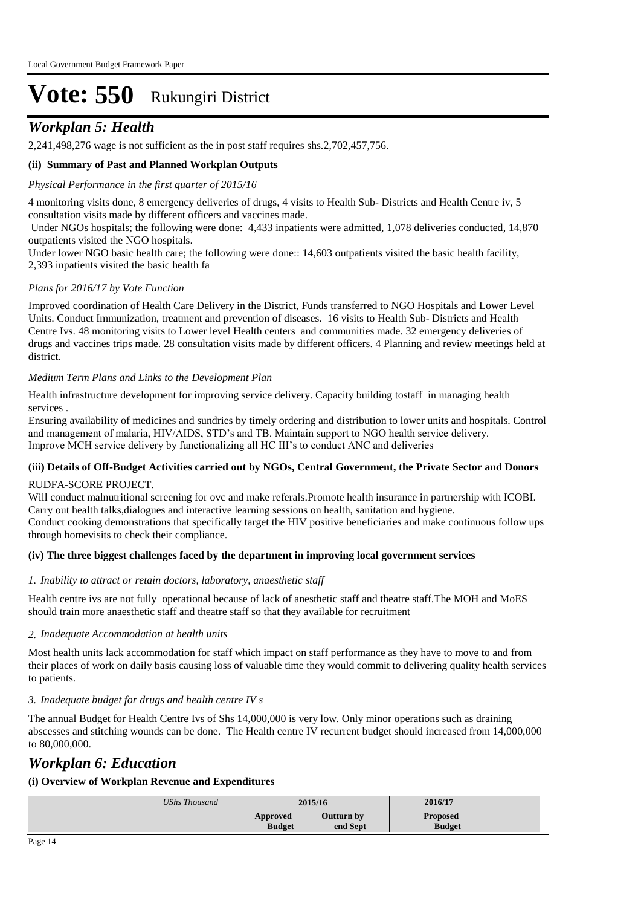## *Workplan 5: Health*

2,241,498,276 wage is not sufficient as the in post staff requires shs.2,702,457,756.

#### **(ii) Summary of Past and Planned Workplan Outputs**

*Physical Performance in the first quarter of 2015/16*

4 monitoring visits done, 8 emergency deliveries of drugs, 4 visits to Health Sub- Districts and Health Centre iv, 5 consultation visits made by different officers and vaccines made.

 Under NGOs hospitals; the following were done: 4,433 inpatients were admitted, 1,078 deliveries conducted, 14,870 outpatients visited the NGO hospitals.

Under lower NGO basic health care; the following were done:: 14,603 outpatients visited the basic health facility, 2,393 inpatients visited the basic health fa

#### *Plans for 2016/17 by Vote Function*

Improved coordination of Health Care Delivery in the District, Funds transferred to NGO Hospitals and Lower Level Units. Conduct Immunization, treatment and prevention of diseases. 16 visits to Health Sub- Districts and Health Centre Ivs. 48 monitoring visits to Lower level Health centers and communities made. 32 emergency deliveries of drugs and vaccines trips made. 28 consultation visits made by different officers. 4 Planning and review meetings held at district.

#### *Medium Term Plans and Links to the Development Plan*

Health infrastructure development for improving service delivery. Capacity building tostaff in managing health services .

Ensuring availability of medicines and sundries by timely ordering and distribution to lower units and hospitals. Control and management of malaria, HIV/AIDS, STD's and TB. Maintain support to NGO health service delivery. Improve MCH service delivery by functionalizing all HC III's to conduct ANC and deliveries

### **(iii) Details of Off-Budget Activities carried out by NGOs, Central Government, the Private Sector and Donors**

#### RUDFA-SCORE PROJECT.

Will conduct malnutritional screening for ovc and make referals.Promote health insurance in partnership with ICOBI. Carry out health talks,dialogues and interactive learning sessions on health, sanitation and hygiene. Conduct cooking demonstrations that specifically target the HIV positive beneficiaries and make continuous follow ups through homevisits to check their compliance.

#### **(iv) The three biggest challenges faced by the department in improving local government services**

#### *Inability to attract or retain doctors, laboratory, anaesthetic staff 1.*

Health centre ivs are not fully operational because of lack of anesthetic staff and theatre staff.The MOH and MoES should train more anaesthetic staff and theatre staff so that they available for recruitment

#### *Inadequate Accommodation at health units 2.*

Most health units lack accommodation for staff which impact on staff performance as they have to move to and from their places of work on daily basis causing loss of valuable time they would commit to delivering quality health services to patients.

#### *Inadequate budget for drugs and health centre IV s 3.*

The annual Budget for Health Centre Ivs of Shs 14,000,000 is very low. Only minor operations such as draining abscesses and stitching wounds can be done. The Health centre IV recurrent budget should increased from 14,000,000 to 80,000,000.

### *Workplan 6: Education*

| UShs Thousand | 2015/16    | 2016/17         |  |
|---------------|------------|-----------------|--|
| Approved      | Outturn by | <b>Proposed</b> |  |
| <b>Budget</b> | end Sept   | <b>Budget</b>   |  |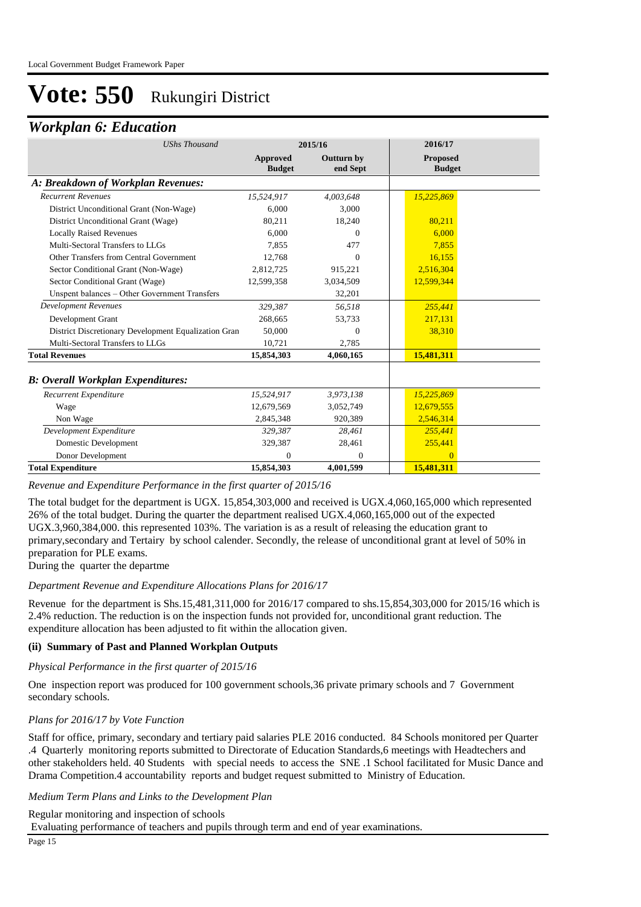### *Workplan 6: Education*

| ┻<br><b>UShs Thousand</b>                            | 2015/16                   |                        | 2016/17                          |
|------------------------------------------------------|---------------------------|------------------------|----------------------------------|
|                                                      | Approved<br><b>Budget</b> | Outturn by<br>end Sept | <b>Proposed</b><br><b>Budget</b> |
| A: Breakdown of Workplan Revenues:                   |                           |                        |                                  |
| <b>Recurrent Revenues</b>                            | 15,524,917                | 4,003,648              | 15,225,869                       |
| District Unconditional Grant (Non-Wage)              | 6,000                     | 3,000                  |                                  |
| District Unconditional Grant (Wage)                  | 80.211                    | 18,240                 | 80.211                           |
| <b>Locally Raised Revenues</b>                       | 6.000                     | $\Omega$               | 6.000                            |
| Multi-Sectoral Transfers to LLGs                     | 7,855                     | 477                    | 7,855                            |
| Other Transfers from Central Government              | 12,768                    | $\Omega$               | 16,155                           |
| Sector Conditional Grant (Non-Wage)                  | 2,812,725                 | 915,221                | 2,516,304                        |
| Sector Conditional Grant (Wage)                      | 12,599,358                | 3,034,509              | 12,599,344                       |
| Unspent balances - Other Government Transfers        |                           | 32,201                 |                                  |
| <b>Development Revenues</b>                          | 329,387                   | 56,518                 | 255,441                          |
| Development Grant                                    | 268,665                   | 53,733                 | 217,131                          |
| District Discretionary Development Equalization Gran | 50,000                    | $\Omega$               | 38,310                           |
| Multi-Sectoral Transfers to LLGs                     | 10,721                    | 2,785                  |                                  |
| <b>Total Revenues</b>                                | 15,854,303                | 4,060,165              | 15,481,311                       |
| <b>B: Overall Workplan Expenditures:</b>             |                           |                        |                                  |
| Recurrent Expenditure                                | 15,524,917                | 3,973,138              | 15,225,869                       |
| Wage                                                 | 12,679,569                | 3,052,749              | 12,679,555                       |
| Non Wage                                             | 2,845,348                 | 920.389                | 2,546,314                        |
| Development Expenditure                              | 329,387                   | 28,461                 | 255,441                          |
| Domestic Development                                 | 329,387                   | 28,461                 | 255,441                          |
| Donor Development                                    | $\Omega$                  | $\Omega$               | $\Omega$                         |
| <b>Total Expenditure</b>                             | 15,854,303                | 4,001,599              | 15,481,311                       |

#### *Revenue and Expenditure Performance in the first quarter of 2015/16*

The total budget for the department is UGX. 15,854,303,000 and received is UGX.4,060,165,000 which represented 26% of the total budget. During the quarter the department realised UGX.4,060,165,000 out of the expected UGX.3,960,384,000. this represented 103%. The variation is as a result of releasing the education grant to primary, secondary and Tertairy by school calender. Secondly, the release of unconditional grant at level of 50% in preparation for PLE exams.

During the quarter the departme

### *Department Revenue and Expenditure Allocations Plans for 2016/17*

Revenue for the department is Shs.15,481,311,000 for 2016/17 compared to shs.15,854,303,000 for 2015/16 which is 2.4% reduction. The reduction is on the inspection funds not provided for, unconditional grant reduction. The expenditure allocation has been adjusted to fit within the allocation given.

### **(ii) Summary of Past and Planned Workplan Outputs**

*Physical Performance in the first quarter of 2015/16*

One inspection report was produced for 100 government schools,36 private primary schools and 7 Government secondary schools.

### *Plans for 2016/17 by Vote Function*

Staff for office, primary, secondary and tertiary paid salaries PLE 2016 conducted. 84 Schools monitored per Quarter .4 Quarterly monitoring reports submitted to Directorate of Education Standards,6 meetings with Headtechers and other stakeholders held. 40 Students with special needs to access the SNE .1 School facilitated for Music Dance and Drama Competition.4 accountability reports and budget request submitted to Ministry of Education.

### *Medium Term Plans and Links to the Development Plan*

Regular monitoring and inspection of schools Evaluating performance of teachers and pupils through term and end of year examinations.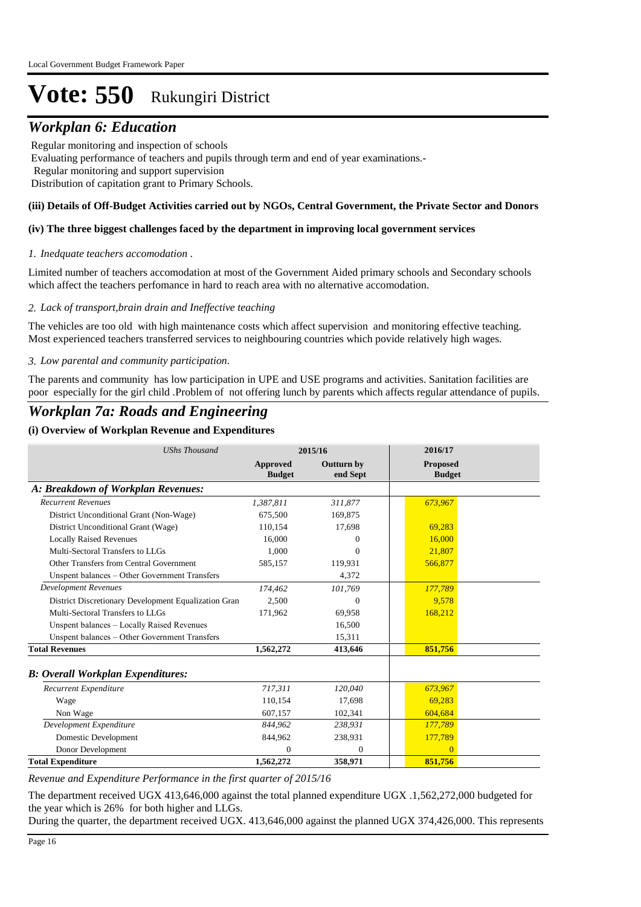## *Workplan 6: Education*

#### Regular monitoring and inspection of schools

Evaluating performance of teachers and pupils through term and end of year examinations.-

Regular monitoring and support supervision

Distribution of capitation grant to Primary Schools.

#### **(iii) Details of Off-Budget Activities carried out by NGOs, Central Government, the Private Sector and Donors**

#### **(iv) The three biggest challenges faced by the department in improving local government services**

#### *Inedquate teachers accomodation . 1.*

Limited number of teachers accomodation at most of the Government Aided primary schools and Secondary schools which affect the teachers perfomance in hard to reach area with no alternative accomodation.

#### *Lack of transport,brain drain and Ineffective teaching 2.*

The vehicles are too old with high maintenance costs which affect supervision and monitoring effective teaching. Most experienced teachers transferred services to neighbouring countries which povide relatively high wages.

#### *Low parental and community participation. 3.*

The parents and community has low participation in UPE and USE programs and activities. Sanitation facilities are poor especially for the girl child .Problem of not offering lunch by parents which affects regular attendance of pupils.

### *Workplan 7a: Roads and Engineering*

#### **(i) Overview of Workplan Revenue and Expenditures**

| <b>UShs Thousand</b>                                 | 2015/16                          |                               | 2016/17                          |  |
|------------------------------------------------------|----------------------------------|-------------------------------|----------------------------------|--|
|                                                      | <b>Approved</b><br><b>Budget</b> | <b>Outturn by</b><br>end Sept | <b>Proposed</b><br><b>Budget</b> |  |
| A: Breakdown of Workplan Revenues:                   |                                  |                               |                                  |  |
| <b>Recurrent Revenues</b>                            | 1,387,811                        | 311,877                       | 673,967                          |  |
| District Unconditional Grant (Non-Wage)              | 675,500                          | 169,875                       |                                  |  |
| District Unconditional Grant (Wage)                  | 110,154                          | 17,698                        | 69,283                           |  |
| <b>Locally Raised Revenues</b>                       | 16,000                           | $\Omega$                      | 16,000                           |  |
| Multi-Sectoral Transfers to LLGs                     | 1,000                            | $\Omega$                      | 21,807                           |  |
| Other Transfers from Central Government              | 585,157                          | 119,931                       | 566,877                          |  |
| Unspent balances - Other Government Transfers        |                                  | 4,372                         |                                  |  |
| <b>Development Revenues</b>                          | 174.462                          | 101,769                       | 177,789                          |  |
| District Discretionary Development Equalization Gran | 2,500                            | $\Omega$                      | 9.578                            |  |
| Multi-Sectoral Transfers to LLGs                     | 171,962                          | 69,958                        | 168,212                          |  |
| Unspent balances - Locally Raised Revenues           |                                  | 16,500                        |                                  |  |
| Unspent balances - Other Government Transfers        |                                  | 15,311                        |                                  |  |
| <b>Total Revenues</b>                                | 1,562,272                        | 413,646                       | 851,756                          |  |
| <b>B: Overall Workplan Expenditures:</b>             |                                  |                               |                                  |  |
| Recurrent Expenditure                                | 717,311                          | 120,040                       | 673,967                          |  |
| Wage                                                 | 110,154                          | 17,698                        | 69.283                           |  |
| Non Wage                                             | 607,157                          | 102,341                       | 604.684                          |  |
| Development Expenditure                              | 844,962                          | 238,931                       | 177,789                          |  |
| Domestic Development                                 | 844,962                          | 238,931                       | 177,789                          |  |
| Donor Development                                    | $\Omega$                         | $\overline{0}$                | $\Omega$                         |  |
| <b>Total Expenditure</b>                             | 1,562,272                        | 358,971                       | 851,756                          |  |

*Revenue and Expenditure Performance in the first quarter of 2015/16*

The department received UGX 413,646,000 against the total planned expenditure UGX .1,562,272,000 budgeted for the year which is 26% for both higher and LLGs.

During the quarter, the department received UGX. 413,646,000 against the planned UGX 374,426,000. This represents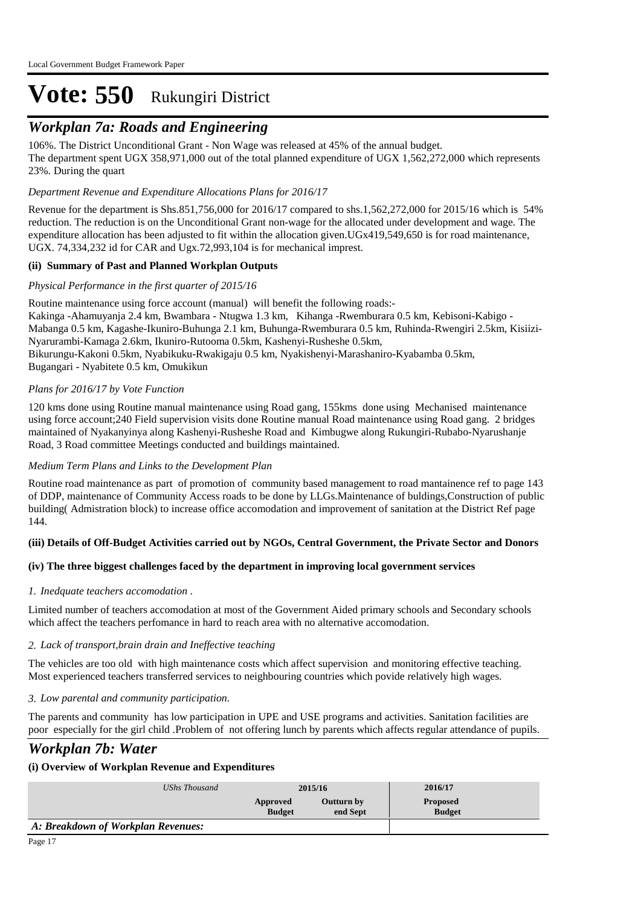## *Workplan 7a: Roads and Engineering*

106%. The District Unconditional Grant - Non Wage was released at 45% of the annual budget. The department spent UGX 358,971,000 out of the total planned expenditure of UGX 1,562,272,000 which represents 23%. During the quart

#### *Department Revenue and Expenditure Allocations Plans for 2016/17*

Revenue for the department is Shs.851,756,000 for 2016/17 compared to shs.1,562,272,000 for 2015/16 which is 54% reduction. The reduction is on the Unconditional Grant non-wage for the allocated under development and wage. The expenditure allocation has been adjusted to fit within the allocation given.UGx419,549,650 is for road maintenance, UGX. 74,334,232 id for CAR and Ugx.72,993,104 is for mechanical imprest.

#### **(ii) Summary of Past and Planned Workplan Outputs**

#### *Physical Performance in the first quarter of 2015/16*

Routine maintenance using force account (manual) will benefit the following roads:- Kakinga -Ahamuyanja 2.4 km, Bwambara - Ntugwa 1.3 km, Kihanga -Rwemburara 0.5 km, Kebisoni-Kabigo - Mabanga 0.5 km, Kagashe-Ikuniro-Buhunga 2.1 km, Buhunga-Rwemburara 0.5 km, Ruhinda-Rwengiri 2.5km, Kisiizi-Nyarurambi-Kamaga 2.6km, Ikuniro-Rutooma 0.5km, Kashenyi-Rusheshe 0.5km, Bikurungu-Kakoni 0.5km, Nyabikuku-Rwakigaju 0.5 km, Nyakishenyi-Marashaniro-Kyabamba 0.5km, Bugangari - Nyabitete 0.5 km, Omukikun

#### *Plans for 2016/17 by Vote Function*

120 kms done using Routine manual maintenance using Road gang, 155kms done using Mechanised maintenance using force account;240 Field supervision visits done Routine manual Road maintenance using Road gang. 2 bridges maintained of Nyakanyinya along Kashenyi-Rusheshe Road and Kimbugwe along Rukungiri-Rubabo-Nyarushanje Road, 3 Road committee Meetings conducted and buildings maintained.

#### *Medium Term Plans and Links to the Development Plan*

Routine road maintenance as part of promotion of community based management to road mantainence ref to page 143 of DDP, maintenance of Community Access roads to be done by LLGs.Maintenance of buldings,Construction of public building( Admistration block) to increase office accomodation and improvement of sanitation at the District Ref page 144.

#### **(iii) Details of Off-Budget Activities carried out by NGOs, Central Government, the Private Sector and Donors**

#### **(iv) The three biggest challenges faced by the department in improving local government services**

#### *Inedquate teachers accomodation . 1.*

Limited number of teachers accomodation at most of the Government Aided primary schools and Secondary schools which affect the teachers perfomance in hard to reach area with no alternative accomodation.

#### *Lack of transport,brain drain and Ineffective teaching 2.*

The vehicles are too old with high maintenance costs which affect supervision and monitoring effective teaching. Most experienced teachers transferred services to neighbouring countries which povide relatively high wages.

#### *Low parental and community participation. 3.*

The parents and community has low participation in UPE and USE programs and activities. Sanitation facilities are poor especially for the girl child .Problem of not offering lunch by parents which affects regular attendance of pupils.

### *Workplan 7b: Water*

| UShs Thousand                      | 2015/16                   |                        | 2016/17                          |  |
|------------------------------------|---------------------------|------------------------|----------------------------------|--|
|                                    | Approved<br><b>Budget</b> | Outturn by<br>end Sept | <b>Proposed</b><br><b>Budget</b> |  |
| A: Breakdown of Workplan Revenues: |                           |                        |                                  |  |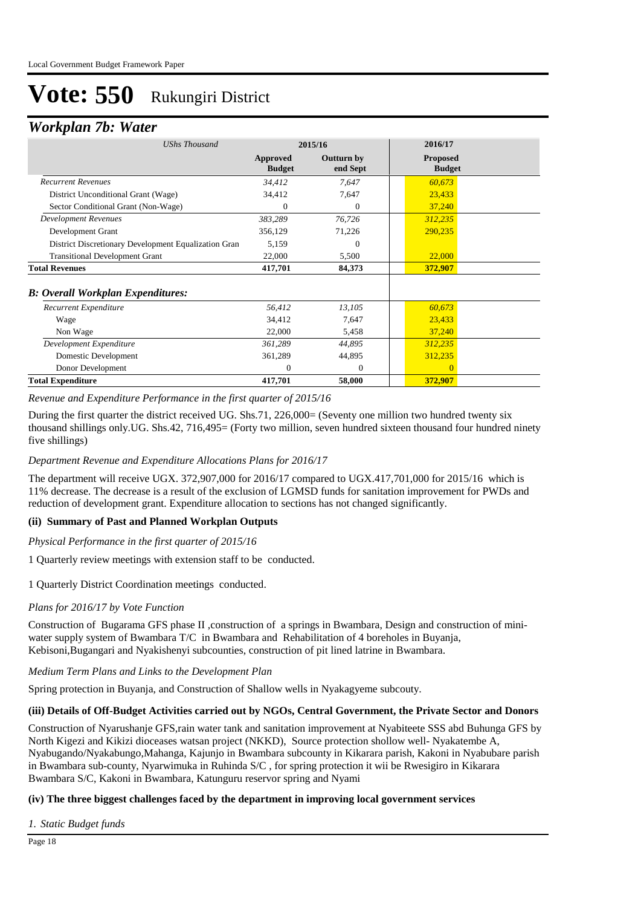### *Workplan 7b: Water*

| 2016/17<br><b>Outturn by</b><br><b>Proposed</b><br><b>Budget</b><br>end Sept<br>60,673<br>7,647<br>23,433 |                                                                                                        |
|-----------------------------------------------------------------------------------------------------------|--------------------------------------------------------------------------------------------------------|
|                                                                                                           |                                                                                                        |
|                                                                                                           |                                                                                                        |
|                                                                                                           |                                                                                                        |
|                                                                                                           |                                                                                                        |
| 37,240<br>$\Omega$                                                                                        |                                                                                                        |
| 312,235                                                                                                   |                                                                                                        |
| 290,235                                                                                                   |                                                                                                        |
| $\Omega$                                                                                                  |                                                                                                        |
| 22,000                                                                                                    |                                                                                                        |
| 372,907                                                                                                   |                                                                                                        |
|                                                                                                           |                                                                                                        |
| 60,673                                                                                                    |                                                                                                        |
| 23,433                                                                                                    |                                                                                                        |
| 37,240                                                                                                    |                                                                                                        |
| 312,235                                                                                                   |                                                                                                        |
| 312,235                                                                                                   |                                                                                                        |
| $\Omega$<br>$\Omega$                                                                                      |                                                                                                        |
| 372,907                                                                                                   |                                                                                                        |
|                                                                                                           | 7,647<br>76,726<br>71,226<br>5,500<br>84,373<br>13,105<br>7,647<br>5,458<br>44,895<br>44,895<br>58,000 |

*Revenue and Expenditure Performance in the first quarter of 2015/16*

During the first quarter the district received UG. Shs.71, 226,000= (Seventy one million two hundred twenty six thousand shillings only.UG. Shs.42, 716,495= (Forty two million, seven hundred sixteen thousand four hundred ninety five shillings)

#### *Department Revenue and Expenditure Allocations Plans for 2016/17*

The department will receive UGX. 372,907,000 for 2016/17 compared to UGX.417,701,000 for 2015/16 which is 11% decrease. The decrease is a result of the exclusion of LGMSD funds for sanitation improvement for PWDs and reduction of development grant. Expenditure allocation to sections has not changed significantly.

#### **(ii) Summary of Past and Planned Workplan Outputs**

*Physical Performance in the first quarter of 2015/16*

1 Quarterly review meetings with extension staff to be conducted.

1 Quarterly District Coordination meetings conducted.

#### *Plans for 2016/17 by Vote Function*

Construction of Bugarama GFS phase II ,construction of a springs in Bwambara, Design and construction of miniwater supply system of Bwambara T/C in Bwambara and Rehabilitation of 4 boreholes in Buyanja, Kebisoni,Bugangari and Nyakishenyi subcounties, construction of pit lined latrine in Bwambara.

*Medium Term Plans and Links to the Development Plan*

Spring protection in Buyanja, and Construction of Shallow wells in Nyakagyeme subcouty.

#### **(iii) Details of Off-Budget Activities carried out by NGOs, Central Government, the Private Sector and Donors**

Construction of Nyarushanje GFS,rain water tank and sanitation improvement at Nyabiteete SSS abd Buhunga GFS by North Kigezi and Kikizi dioceases watsan project (NKKD), Source protection shollow well- Nyakatembe A, Nyabugando/Nyakabungo,Mahanga, Kajunjo in Bwambara subcounty in Kikarara parish, Kakoni in Nyabubare parish in Bwambara sub-county, Nyarwimuka in Ruhinda S/C , for spring protection it wii be Rwesigiro in Kikarara Bwambara S/C, Kakoni in Bwambara, Katunguru reservor spring and Nyami

#### **(iv) The three biggest challenges faced by the department in improving local government services**

*Static Budget funds 1.*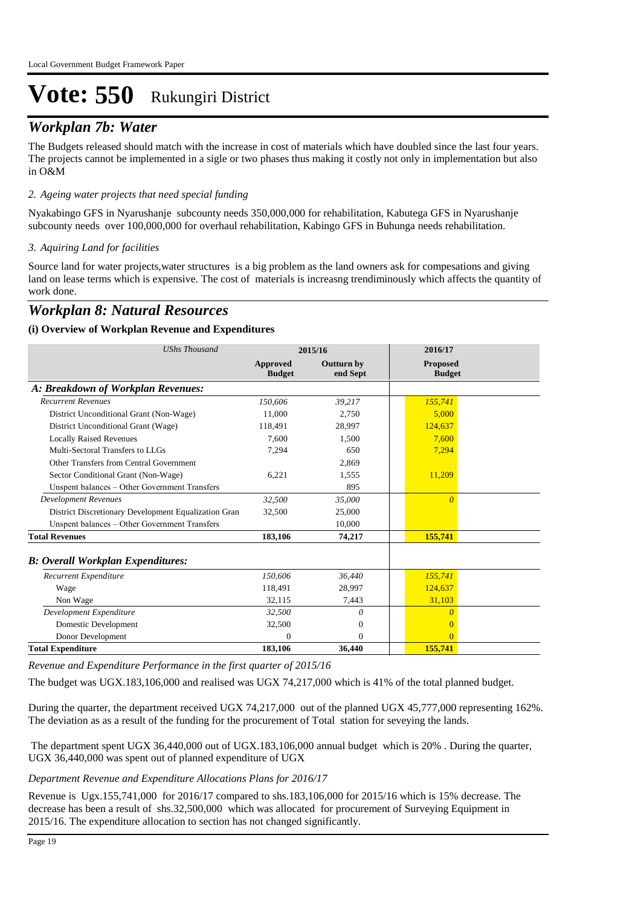## *Workplan 7b: Water*

The Budgets released should match with the increase in cost of materials which have doubled since the last four years. The projects cannot be implemented in a sigle or two phases thus making it costly not only in implementation but also in O&M

#### *Ageing water projects that need special funding 2.*

Nyakabingo GFS in Nyarushanje subcounty needs 350,000,000 for rehabilitation, Kabutega GFS in Nyarushanje subcounty needs over 100,000,000 for overhaul rehabilitation, Kabingo GFS in Buhunga needs rehabilitation.

#### *Aquiring Land for facilities 3.*

Source land for water projects,water structures is a big problem as the land owners ask for compesations and giving land on lease terms which is expensive. The cost of materials is increasng trendiminously which affects the quantity of work done.

### *Workplan 8: Natural Resources*

#### **(i) Overview of Workplan Revenue and Expenditures**

| <b>UShs Thousand</b>                                 | 2015/16                   |                        | 2016/17                          |
|------------------------------------------------------|---------------------------|------------------------|----------------------------------|
|                                                      | Approved<br><b>Budget</b> | Outturn by<br>end Sept | <b>Proposed</b><br><b>Budget</b> |
| A: Breakdown of Workplan Revenues:                   |                           |                        |                                  |
| <b>Recurrent Revenues</b>                            | 150,606                   | 39,217                 | 155,741                          |
| District Unconditional Grant (Non-Wage)              | 11,000                    | 2,750                  | 5,000                            |
| District Unconditional Grant (Wage)                  | 118,491                   | 28,997                 | 124,637                          |
| <b>Locally Raised Revenues</b>                       | 7,600                     | 1,500                  | 7.600                            |
| Multi-Sectoral Transfers to LLGs                     | 7,294                     | 650                    | 7,294                            |
| Other Transfers from Central Government              |                           | 2,869                  |                                  |
| Sector Conditional Grant (Non-Wage)                  | 6,221                     | 1,555                  | 11,209                           |
| Unspent balances – Other Government Transfers        |                           | 895                    |                                  |
| <b>Development Revenues</b>                          | 32,500                    | 35,000                 | $\theta$                         |
| District Discretionary Development Equalization Gran | 32,500                    | 25,000                 |                                  |
| Unspent balances - Other Government Transfers        |                           | 10.000                 |                                  |
| <b>Total Revenues</b>                                | 183,106                   | 74,217                 | 155,741                          |
| <b>B: Overall Workplan Expenditures:</b>             |                           |                        |                                  |
| Recurrent Expenditure                                | 150,606                   | 36,440                 | 155,741                          |
| Wage                                                 | 118.491                   | 28.997                 | 124,637                          |
| Non Wage                                             | 32,115                    | 7,443                  | 31,103                           |
| Development Expenditure                              | 32,500                    | 0                      | 0                                |
| Domestic Development                                 | 32,500                    | $\mathbf{0}$           |                                  |
| Donor Development                                    | $\Omega$                  | $\mathbf{0}$           | $\Omega$                         |
| <b>Total Expenditure</b>                             | 183,106                   | 36,440                 | 155,741                          |

*Revenue and Expenditure Performance in the first quarter of 2015/16*

The budget was UGX.183,106,000 and realised was UGX 74,217,000 which is 41% of the total planned budget.

During the quarter, the department received UGX 74,217,000 out of the planned UGX 45,777,000 representing 162%. The deviation as as a result of the funding for the procurement of Total station for seveying the lands.

 The department spent UGX 36,440,000 out of UGX.183,106,000 annual budget which is 20% . During the quarter, UGX 36,440,000 was spent out of planned expenditure of UGX

#### *Department Revenue and Expenditure Allocations Plans for 2016/17*

Revenue is Ugx.155,741,000 for 2016/17 compared to shs.183,106,000 for 2015/16 which is 15% decrease. The decrease has been a result of shs.32,500,000 which was allocated for procurement of Surveying Equipment in 2015/16. The expenditure allocation to section has not changed significantly.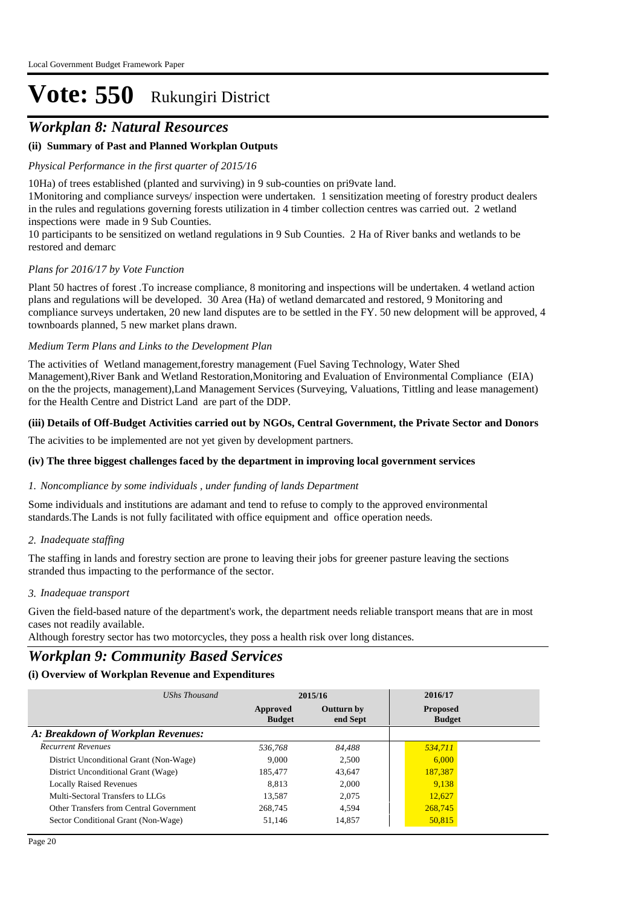### *Workplan 8: Natural Resources*

#### **(ii) Summary of Past and Planned Workplan Outputs**

#### *Physical Performance in the first quarter of 2015/16*

10Ha) of trees established (planted and surviving) in 9 sub-counties on pri9vate land.

1Monitoring and compliance surveys/ inspection were undertaken. 1 sensitization meeting of forestry product dealers in the rules and regulations governing forests utilization in 4 timber collection centres was carried out. 2 wetland inspections were made in 9 Sub Counties.

10 participants to be sensitized on wetland regulations in 9 Sub Counties. 2 Ha of River banks and wetlands to be restored and demarc

#### *Plans for 2016/17 by Vote Function*

Plant 50 hactres of forest .To increase compliance, 8 monitoring and inspections will be undertaken. 4 wetland action plans and regulations will be developed. 30 Area (Ha) of wetland demarcated and restored, 9 Monitoring and compliance surveys undertaken, 20 new land disputes are to be settled in the FY. 50 new delopment will be approved, 4 townboards planned, 5 new market plans drawn.

#### *Medium Term Plans and Links to the Development Plan*

The activities of Wetland management,forestry management (Fuel Saving Technology, Water Shed Management),River Bank and Wetland Restoration,Monitoring and Evaluation of Environmental Compliance (EIA) on the the projects, management),Land Management Services (Surveying, Valuations, Tittling and lease management) for the Health Centre and District Land are part of the DDP.

#### **(iii) Details of Off-Budget Activities carried out by NGOs, Central Government, the Private Sector and Donors**

The acivities to be implemented are not yet given by development partners.

#### **(iv) The three biggest challenges faced by the department in improving local government services**

#### *Noncompliance by some individuals , under funding of lands Department 1.*

Some individuals and institutions are adamant and tend to refuse to comply to the approved environmental standards.The Lands is not fully facilitated with office equipment and office operation needs.

#### *Inadequate staffing 2.*

The staffing in lands and forestry section are prone to leaving their jobs for greener pasture leaving the sections stranded thus impacting to the performance of the sector.

#### *Inadequae transport 3.*

Given the field-based nature of the department's work, the department needs reliable transport means that are in most cases not readily available.

Although forestry sector has two motorcycles, they poss a health risk over long distances.

### *Workplan 9: Community Based Services*

| UShs Thousand                           |                           | 2015/16                       | 2016/17                          |  |
|-----------------------------------------|---------------------------|-------------------------------|----------------------------------|--|
|                                         | Approved<br><b>Budget</b> | <b>Outturn by</b><br>end Sept | <b>Proposed</b><br><b>Budget</b> |  |
| A: Breakdown of Workplan Revenues:      |                           |                               |                                  |  |
| <b>Recurrent Revenues</b>               | 536.768                   | 84.488                        | 534.711                          |  |
| District Unconditional Grant (Non-Wage) | 9.000                     | 2.500                         | 6,000                            |  |
| District Unconditional Grant (Wage)     | 185.477                   | 43.647                        | 187,387                          |  |
| <b>Locally Raised Revenues</b>          | 8.813                     | 2.000                         | 9.138                            |  |
| Multi-Sectoral Transfers to LLGs        | 13.587                    | 2.075                         | 12,627                           |  |
| Other Transfers from Central Government | 268,745                   | 4.594                         | 268,745                          |  |
| Sector Conditional Grant (Non-Wage)     | 51,146                    | 14,857                        | 50,815                           |  |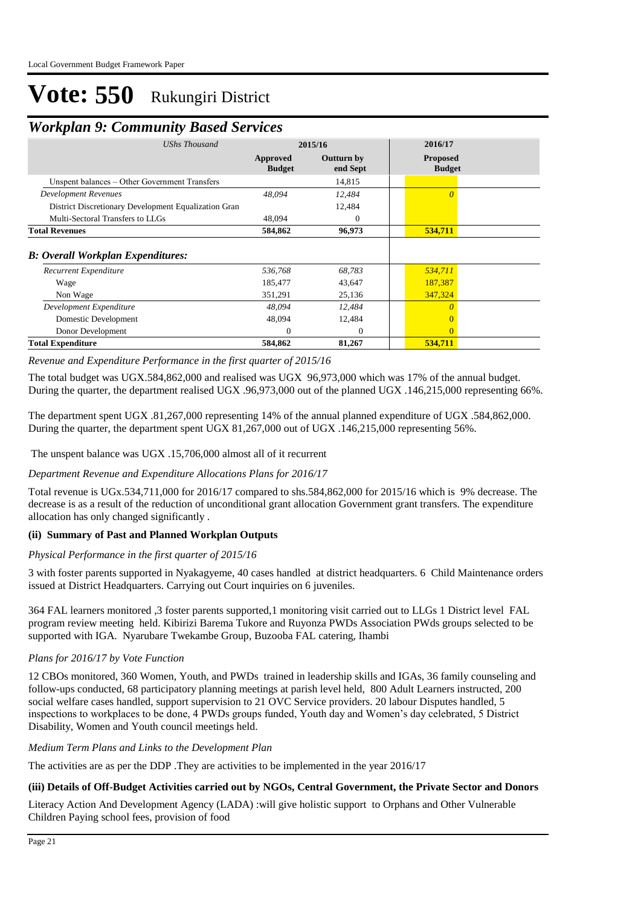## *Workplan 9: Community Based Services*

| <b>UShs Thousand</b>                                 | 2015/16                   |                               | 2016/17                          |  |  |
|------------------------------------------------------|---------------------------|-------------------------------|----------------------------------|--|--|
|                                                      | Approved<br><b>Budget</b> | <b>Outturn by</b><br>end Sept | <b>Proposed</b><br><b>Budget</b> |  |  |
| Unspent balances – Other Government Transfers        |                           | 14,815                        |                                  |  |  |
| <b>Development Revenues</b>                          | 48.094                    | 12,484                        | $\theta$                         |  |  |
| District Discretionary Development Equalization Gran |                           | 12,484                        |                                  |  |  |
| Multi-Sectoral Transfers to LLGs                     | 48,094                    | 0                             |                                  |  |  |
| <b>Total Revenues</b>                                | 584,862                   | 96,973                        | 534,711                          |  |  |
| <b>B: Overall Workplan Expenditures:</b>             |                           |                               |                                  |  |  |
| Recurrent Expenditure                                | 536,768                   | 68,783                        | 534,711                          |  |  |
| Wage                                                 | 185,477                   | 43,647                        | 187,387                          |  |  |
| Non Wage                                             | 351,291                   | 25,136                        | 347,324                          |  |  |
| Development Expenditure                              | 48,094                    | 12,484                        |                                  |  |  |
| Domestic Development                                 | 48,094                    | 12,484                        |                                  |  |  |
| Donor Development                                    | $\Omega$                  | $\Omega$                      | $\Omega$                         |  |  |
| <b>Total Expenditure</b>                             | 584,862                   | 81,267                        | 534,711                          |  |  |

#### *Revenue and Expenditure Performance in the first quarter of 2015/16*

The total budget was UGX.584,862,000 and realised was UGX 96,973,000 which was 17% of the annual budget. During the quarter, the department realised UGX .96,973,000 out of the planned UGX .146,215,000 representing 66%.

The department spent UGX .81,267,000 representing 14% of the annual planned expenditure of UGX .584,862,000. During the quarter, the department spent UGX 81,267,000 out of UGX .146,215,000 representing 56%.

#### The unspent balance was UGX .15,706,000 almost all of it recurrent

#### *Department Revenue and Expenditure Allocations Plans for 2016/17*

Total revenue is UGx.534,711,000 for 2016/17 compared to shs.584,862,000 for 2015/16 which is 9% decrease. The decrease is as a result of the reduction of unconditional grant allocation Government grant transfers. The expenditure allocation has only changed significantly .

#### **(ii) Summary of Past and Planned Workplan Outputs**

#### *Physical Performance in the first quarter of 2015/16*

3 with foster parents supported in Nyakagyeme, 40 cases handled at district headquarters. 6 Child Maintenance orders issued at District Headquarters. Carrying out Court inquiries on 6 juveniles.

364 FAL learners monitored ,3 foster parents supported,1 monitoring visit carried out to LLGs 1 District level FAL program review meeting held. Kibirizi Barema Tukore and Ruyonza PWDs Association PWds groups selected to be supported with IGA. Nyarubare Twekambe Group, Buzooba FAL catering, Ihambi

#### *Plans for 2016/17 by Vote Function*

12 CBOs monitored, 360 Women, Youth, and PWDs trained in leadership skills and IGAs, 36 family counseling and follow-ups conducted, 68 participatory planning meetings at parish level held, 800 Adult Learners instructed, 200 social welfare cases handled, support supervision to 21 OVC Service providers. 20 labour Disputes handled, 5 inspections to workplaces to be done, 4 PWDs groups funded, Youth day and Women's day celebrated, 5 District Disability, Women and Youth council meetings held.

#### *Medium Term Plans and Links to the Development Plan*

The activities are as per the DDP .They are activities to be implemented in the year 2016/17

#### **(iii) Details of Off-Budget Activities carried out by NGOs, Central Government, the Private Sector and Donors**

Literacy Action And Development Agency (LADA) :will give holistic support to Orphans and Other Vulnerable Children Paying school fees, provision of food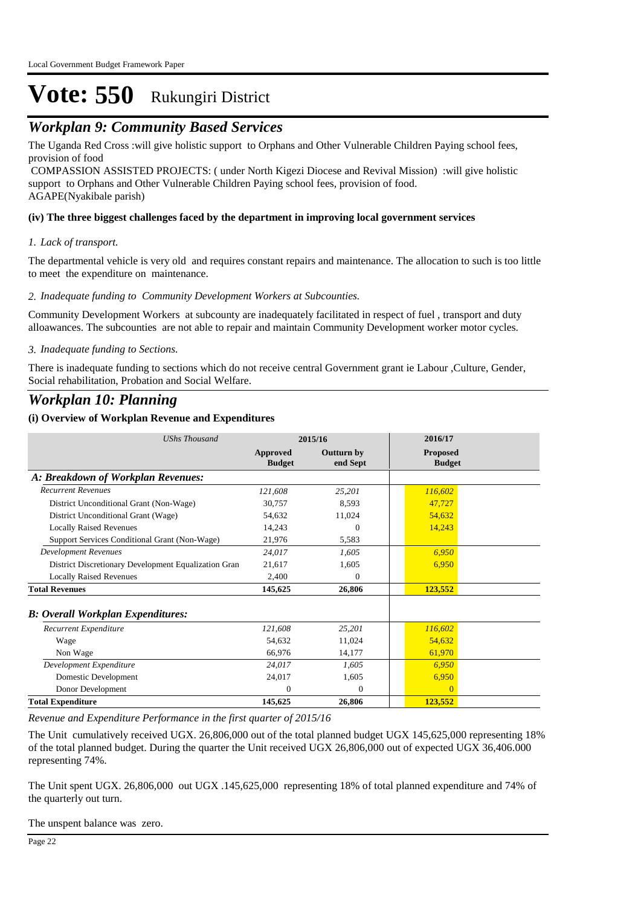## *Workplan 9: Community Based Services*

The Uganda Red Cross :will give holistic support to Orphans and Other Vulnerable Children Paying school fees, provision of food

 COMPASSION ASSISTED PROJECTS: ( under North Kigezi Diocese and Revival Mission) :will give holistic support to Orphans and Other Vulnerable Children Paying school fees, provision of food. AGAPE(Nyakibale parish)

#### **(iv) The three biggest challenges faced by the department in improving local government services**

#### *Lack of transport. 1.*

The departmental vehicle is very old and requires constant repairs and maintenance. The allocation to such is too little to meet the expenditure on maintenance.

*Inadequate funding to Community Development Workers at Subcounties. 2.*

Community Development Workers at subcounty are inadequately facilitated in respect of fuel , transport and duty alloawances. The subcounties are not able to repair and maintain Community Development worker motor cycles.

#### *Inadequate funding to Sections. 3.*

There is inadequate funding to sections which do not receive central Government grant ie Labour ,Culture, Gender, Social rehabilitation, Probation and Social Welfare.

### *Workplan 10: Planning*

#### **(i) Overview of Workplan Revenue and Expenditures**

| <b>UShs Thousand</b>                                 | 2015/16                   |                               | 2016/17                          |  |
|------------------------------------------------------|---------------------------|-------------------------------|----------------------------------|--|
|                                                      | Approved<br><b>Budget</b> | <b>Outturn by</b><br>end Sept | <b>Proposed</b><br><b>Budget</b> |  |
| A: Breakdown of Workplan Revenues:                   |                           |                               |                                  |  |
| <b>Recurrent Revenues</b>                            | 121,608                   | 25,201                        | 116,602                          |  |
| District Unconditional Grant (Non-Wage)              | 30,757                    | 8,593                         | 47,727                           |  |
| District Unconditional Grant (Wage)                  | 54.632                    | 11,024                        | 54,632                           |  |
| <b>Locally Raised Revenues</b>                       | 14,243                    | $\Omega$                      | 14,243                           |  |
| Support Services Conditional Grant (Non-Wage)        | 21,976                    | 5,583                         |                                  |  |
| <b>Development Revenues</b>                          | 24,017                    | 1,605                         | 6,950                            |  |
| District Discretionary Development Equalization Gran | 21,617                    | 1,605                         | 6,950                            |  |
| <b>Locally Raised Revenues</b>                       | 2,400                     | $\Omega$                      |                                  |  |
| <b>Total Revenues</b>                                | 145,625                   | 26,806                        | 123,552                          |  |
| <b>B</b> : Overall Workplan Expenditures:            |                           |                               |                                  |  |
| Recurrent Expenditure                                | 121,608                   | 25,201                        | 116,602                          |  |
| Wage                                                 | 54,632                    | 11,024                        | 54,632                           |  |
| Non Wage                                             | 66,976                    | 14,177                        | 61,970                           |  |
| Development Expenditure                              | 24,017                    | 1.605                         | 6,950                            |  |
| Domestic Development                                 | 24,017                    | 1,605                         | 6,950                            |  |
| Donor Development                                    | $\Omega$                  | $\Omega$                      | $\Omega$                         |  |
| <b>Total Expenditure</b>                             | 145,625                   | 26,806                        | 123,552                          |  |

*Revenue and Expenditure Performance in the first quarter of 2015/16*

The Unit cumulatively received UGX. 26,806,000 out of the total planned budget UGX 145,625,000 representing 18% of the total planned budget. During the quarter the Unit received UGX 26,806,000 out of expected UGX 36,406.000 representing 74%.

The Unit spent UGX. 26,806,000 out UGX .145,625,000 representing 18% of total planned expenditure and 74% of the quarterly out turn.

The unspent balance was zero.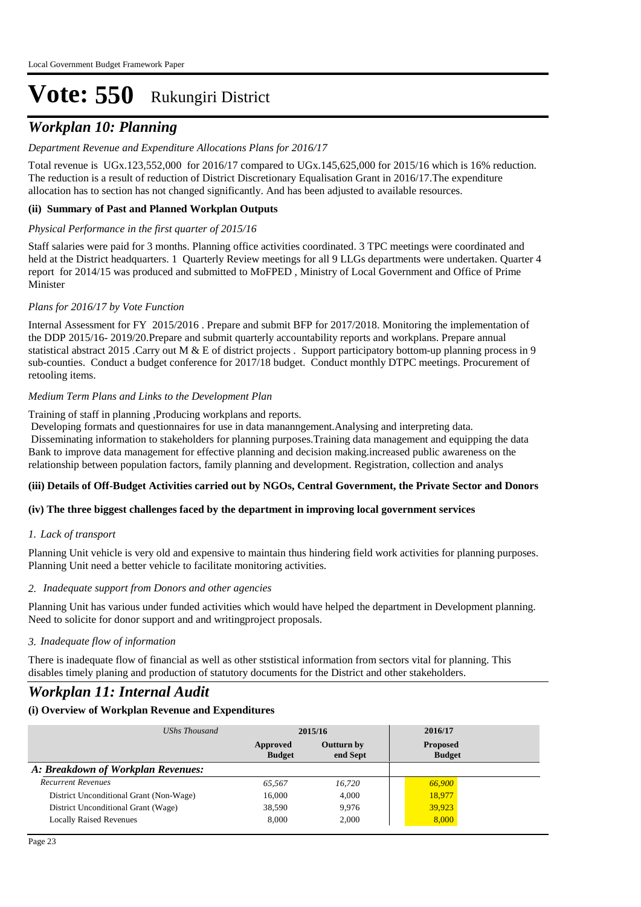## *Workplan 10: Planning*

#### *Department Revenue and Expenditure Allocations Plans for 2016/17*

Total revenue is UGx.123,552,000 for 2016/17 compared to UGx.145,625,000 for 2015/16 which is 16% reduction. The reduction is a result of reduction of District Discretionary Equalisation Grant in 2016/17.The expenditure allocation has to section has not changed significantly. And has been adjusted to available resources.

#### **(ii) Summary of Past and Planned Workplan Outputs**

#### *Physical Performance in the first quarter of 2015/16*

Staff salaries were paid for 3 months. Planning office activities coordinated. 3 TPC meetings were coordinated and held at the District headquarters. 1 Quarterly Review meetings for all 9 LLGs departments were undertaken. Quarter 4 report for 2014/15 was produced and submitted to MoFPED , Ministry of Local Government and Office of Prime Minister

#### *Plans for 2016/17 by Vote Function*

Internal Assessment for FY 2015/2016 . Prepare and submit BFP for 2017/2018. Monitoring the implementation of the DDP 2015/16- 2019/20.Prepare and submit quarterly accountability reports and workplans. Prepare annual statistical abstract 2015 .Carry out M & E of district projects . Support participatory bottom-up planning process in 9 sub-counties. Conduct a budget conference for 2017/18 budget. Conduct monthly DTPC meetings. Procurement of retooling items.

#### *Medium Term Plans and Links to the Development Plan*

Training of staff in planning ,Producing workplans and reports.

 Developing formats and questionnaires for use in data mananngement.Analysing and interpreting data. Disseminating information to stakeholders for planning purposes.Training data management and equipping the data Bank to improve data management for effective planning and decision making.increased public awareness on the relationship between population factors, family planning and development. Registration, collection and analys

#### **(iii) Details of Off-Budget Activities carried out by NGOs, Central Government, the Private Sector and Donors**

#### **(iv) The three biggest challenges faced by the department in improving local government services**

#### *Lack of transport 1.*

Planning Unit vehicle is very old and expensive to maintain thus hindering field work activities for planning purposes. Planning Unit need a better vehicle to facilitate monitoring activities.

#### *Inadequate support from Donors and other agencies 2.*

Planning Unit has various under funded activities which would have helped the department in Development planning. Need to solicite for donor support and and writingproject proposals.

#### *Inadequate flow of information 3.*

There is inadequate flow of financial as well as other ststistical information from sectors vital for planning. This disables timely planing and production of statutory documents for the District and other stakeholders.

### *Workplan 11: Internal Audit*

| UShs Thousand                           | 2015/16                   |                        | 2016/17                          |
|-----------------------------------------|---------------------------|------------------------|----------------------------------|
|                                         | Approved<br><b>Budget</b> | Outturn by<br>end Sept | <b>Proposed</b><br><b>Budget</b> |
| A: Breakdown of Workplan Revenues:      |                           |                        |                                  |
| <b>Recurrent Revenues</b>               | 65.567                    | 16.720                 | 66,900                           |
| District Unconditional Grant (Non-Wage) | 16,000                    | 4.000                  | 18,977                           |
| District Unconditional Grant (Wage)     | 38,590                    | 9.976                  | 39,923                           |
| <b>Locally Raised Revenues</b>          | 8.000                     | 2.000                  | 8,000                            |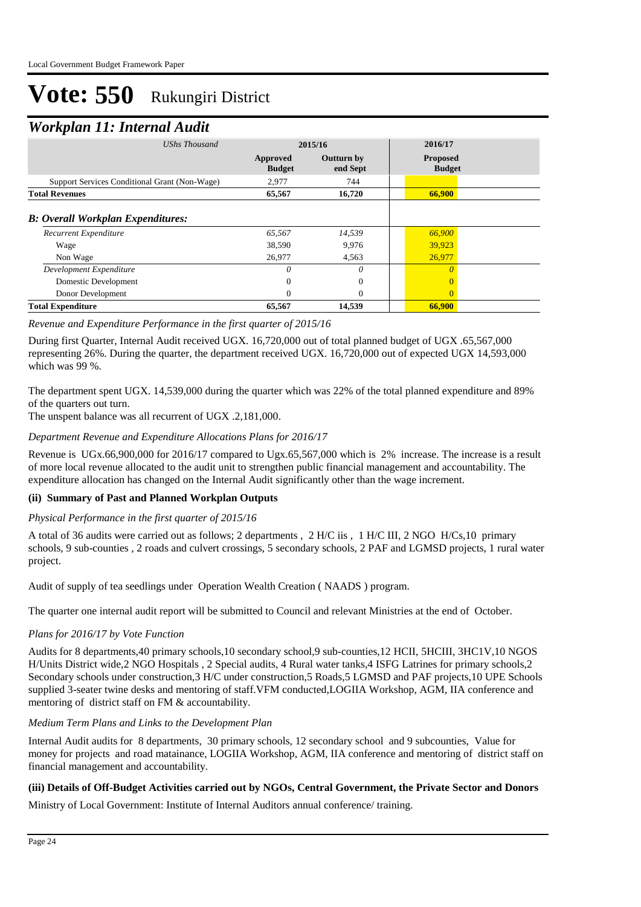## *Workplan 11: Internal Audit*

| UShs Thousand                                 | 2015/16                   |                               | 2016/17                          |
|-----------------------------------------------|---------------------------|-------------------------------|----------------------------------|
|                                               | Approved<br><b>Budget</b> | <b>Outturn by</b><br>end Sept | <b>Proposed</b><br><b>Budget</b> |
| Support Services Conditional Grant (Non-Wage) | 2,977                     | 744                           |                                  |
| <b>Total Revenues</b>                         | 65,567                    | 16,720                        | 66,900                           |
| <b>B: Overall Workplan Expenditures:</b>      |                           |                               |                                  |
| Recurrent Expenditure                         | 65,567                    | 14,539                        | 66,900                           |
| Wage                                          | 38,590                    | 9,976                         | 39,923                           |
| Non Wage                                      | 26,977                    | 4,563                         | 26,977                           |
| Development Expenditure                       | $\theta$                  | 0                             | $\theta$                         |
| Domestic Development                          | 0                         | $\mathbf{0}$                  |                                  |
| Donor Development                             | $\Omega$                  | $\Omega$                      | $\Omega$                         |
| <b>Total Expenditure</b>                      | 65,567                    | 14,539                        | 66,900                           |

#### *Revenue and Expenditure Performance in the first quarter of 2015/16*

During first Quarter, Internal Audit received UGX. 16,720,000 out of total planned budget of UGX .65,567,000 representing 26%. During the quarter, the department received UGX. 16,720,000 out of expected UGX 14,593,000 which was 99 %.

The department spent UGX. 14,539,000 during the quarter which was 22% of the total planned expenditure and 89% of the quarters out turn.

The unspent balance was all recurrent of UGX .2,181,000.

#### *Department Revenue and Expenditure Allocations Plans for 2016/17*

Revenue is UGx.66,900,000 for 2016/17 compared to Ugx.65,567,000 which is 2% increase. The increase is a result of more local revenue allocated to the audit unit to strengthen public financial management and accountability. The expenditure allocation has changed on the Internal Audit significantly other than the wage increment.

#### **(ii) Summary of Past and Planned Workplan Outputs**

#### *Physical Performance in the first quarter of 2015/16*

A total of 36 audits were carried out as follows; 2 departments , 2 H/C iis , 1 H/C III, 2 NGO H/Cs,10 primary schools, 9 sub-counties , 2 roads and culvert crossings, 5 secondary schools, 2 PAF and LGMSD projects, 1 rural water project.

Audit of supply of tea seedlings under Operation Wealth Creation ( NAADS ) program.

The quarter one internal audit report will be submitted to Council and relevant Ministries at the end of October.

#### *Plans for 2016/17 by Vote Function*

Audits for 8 departments,40 primary schools,10 secondary school,9 sub-counties,12 HCII, 5HCIII, 3HC1V,10 NGOS H/Units District wide,2 NGO Hospitals , 2 Special audits, 4 Rural water tanks,4 ISFG Latrines for primary schools,2 Secondary schools under construction,3 H/C under construction,5 Roads,5 LGMSD and PAF projects,10 UPE Schools supplied 3-seater twine desks and mentoring of staff.VFM conducted,LOGIIA Workshop, AGM, IIA conference and mentoring of district staff on FM & accountability.

#### *Medium Term Plans and Links to the Development Plan*

Internal Audit audits for 8 departments, 30 primary schools, 12 secondary school and 9 subcounties, Value for money for projects and road matainance, LOGIIA Workshop, AGM, IIA conference and mentoring of district staff on financial management and accountability.

#### **(iii) Details of Off-Budget Activities carried out by NGOs, Central Government, the Private Sector and Donors**

Ministry of Local Government: Institute of Internal Auditors annual conference/ training.